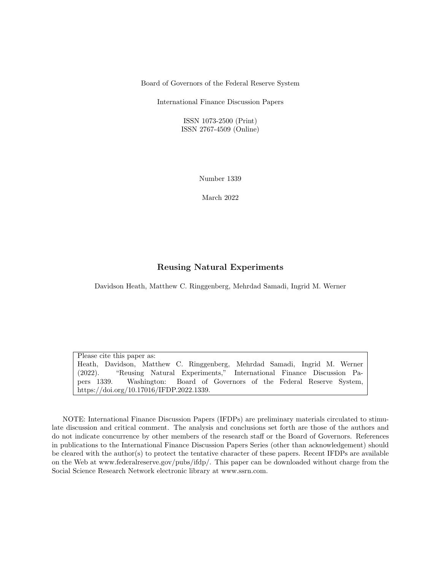Board of Governors of the Federal Reserve System

International Finance Discussion Papers

ISSN 1073-2500 (Print) ISSN 2767-4509 (Online)

Number 1339

March 2022

#### Reusing Natural Experiments

Davidson Heath, Matthew C. Ringgenberg, Mehrdad Samadi, Ingrid M. Werner

Please cite this paper as: Heath, Davidson, Matthew C. Ringgenberg, Mehrdad Samadi, Ingrid M. Werner (2022). "Reusing Natural Experiments," International Finance Discussion Papers 1339. Washington: Board of Governors of the Federal Reserve System, https://doi.org/10.17016/IFDP.2022.1339.

NOTE: International Finance Discussion Papers (IFDPs) are preliminary materials circulated to stimulate discussion and critical comment. The analysis and conclusions set forth are those of the authors and do not indicate concurrence by other members of the research staff or the Board of Governors. References in publications to the International Finance Discussion Papers Series (other than acknowledgement) should be cleared with the author(s) to protect the tentative character of these papers. Recent IFDPs are available on the Web at www.federalreserve.gov/pubs/ifdp/. This paper can be downloaded without charge from the Social Science Research Network electronic library at www.ssrn.com.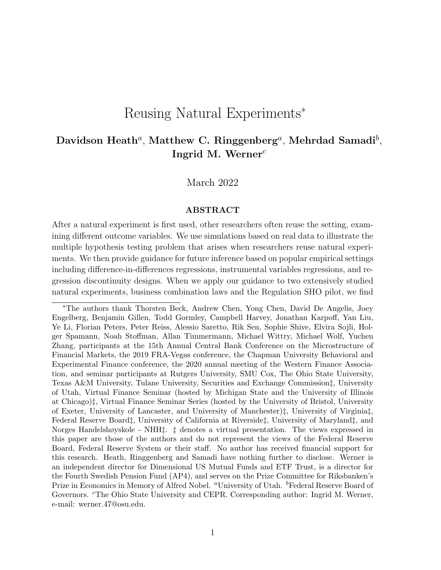# Reusing Natural Experiments<sup>∗</sup>

# Davidson Heath $^a$ , Matthew C. Ringgenberg $^a$ , Mehrdad Samadi $^b$ , Ingrid M. Werner $^c$

March 2022

#### ABSTRACT

After a natural experiment is first used, other researchers often reuse the setting, examining different outcome variables. We use simulations based on real data to illustrate the multiple hypothesis testing problem that arises when researchers reuse natural experiments. We then provide guidance for future inference based on popular empirical settings including difference-in-differences regressions, instrumental variables regressions, and regression discontinuity designs. When we apply our guidance to two extensively studied natural experiments, business combination laws and the Regulation SHO pilot, we find

<sup>∗</sup>The authors thank Thorsten Beck, Andrew Chen, Yong Chen, David De Angelis, Joey Engelberg, Benjamin Gillen, Todd Gormley, Campbell Harvey, Jonathan Karpoff, Yan Liu, Ye Li, Florian Peters, Peter Reiss, Alessio Saretto, Rik Sen, Sophie Shive, Elvira Sojli, Holger Spamann, Noah Stoffman, Allan Timmermann, Michael Wittry, Michael Wolf, Yuchen Zhang, participants at the 15th Annual Central Bank Conference on the Microstructure of Financial Markets, the 2019 FRA-Vegas conference, the Chapman University Behavioral and Experimental Finance conference, the 2020 annual meeting of the Western Finance Association, and seminar participants at Rutgers University, SMU Cox, The Ohio State University, Texas A&M University, Tulane University, Securities and Exchange Commission‡, University of Utah, Virtual Finance Seminar (hosted by Michigan State and the University of Illinois at Chicago)‡, Virtual Finance Seminar Series (hosted by the University of Bristol, University of Exeter, University of Lancaster, and University of Manchester)‡, University of Virginia‡, Federal Reserve Board‡, University of California at Riverside‡, University of Maryland‡, and Norges Handelshøyskole - NHH‡. ‡ denotes a virtual presentation. The views expressed in this paper are those of the authors and do not represent the views of the Federal Reserve Board, Federal Reserve System or their staff. No author has received financial support for this research. Heath, Ringgenberg and Samadi have nothing further to disclose. Werner is an independent director for Dimensional US Mutual Funds and ETF Trust, is a director for the Fourth Swedish Pension Fund (AP4), and serves on the Prize Committee for Riksbanken's Prize in Economics in Memory of Alfred Nobel. "University of Utah. <sup>b</sup>Federal Reserve Board of Governors. <sup>c</sup>The Ohio State University and CEPR. Corresponding author: Ingrid M. Werner, e-mail: werner.47@osu.edu.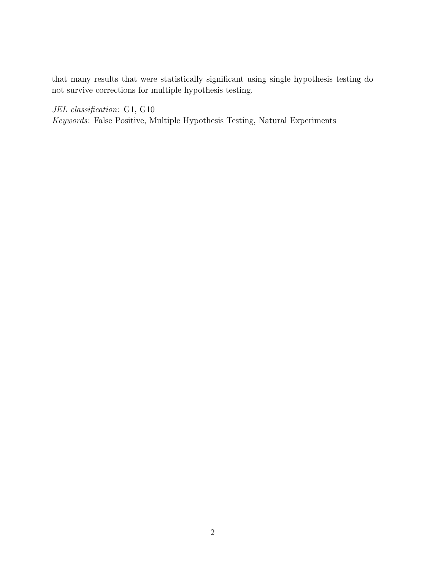that many results that were statistically significant using single hypothesis testing do not survive corrections for multiple hypothesis testing.

JEL classification: G1, G10 Keywords: False Positive, Multiple Hypothesis Testing, Natural Experiments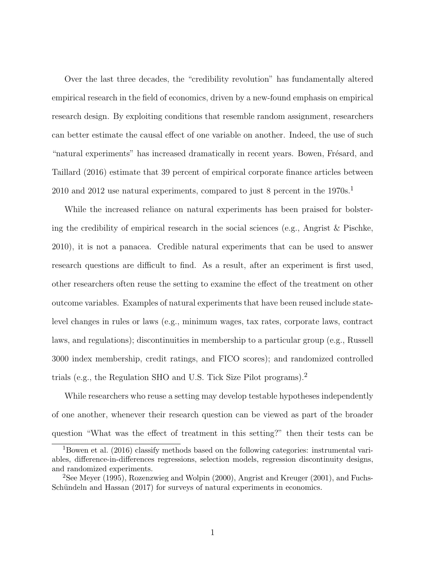Over the last three decades, the "credibility revolution" has fundamentally altered empirical research in the field of economics, driven by a new-found emphasis on empirical research design. By exploiting conditions that resemble random assignment, researchers can better estimate the causal effect of one variable on another. Indeed, the use of such "natural experiments" has increased dramatically in recent years. Bowen, Frésard, and [Taillard](#page-38-0) [\(2016\)](#page-38-0) estimate that 39 percent of empirical corporate finance articles between 20[1](#page-3-0)0 and 2012 use natural experiments, compared to just 8 percent in the  $1970s$ <sup>1</sup>

While the increased reliance on natural experiments has been praised for bolstering the credibility of empirical research in the social sciences (e.g., [Angrist & Pischke,](#page-37-0) [2010\)](#page-37-0), it is not a panacea. Credible natural experiments that can be used to answer research questions are difficult to find. As a result, after an experiment is first used, other researchers often reuse the setting to examine the effect of the treatment on other outcome variables. Examples of natural experiments that have been reused include statelevel changes in rules or laws (e.g., minimum wages, tax rates, corporate laws, contract laws, and regulations); discontinuities in membership to a particular group (e.g., Russell 3000 index membership, credit ratings, and FICO scores); and randomized controlled trials (e.g., the Regulation SHO and U.S. Tick Size Pilot programs).[2](#page-3-1)

While researchers who reuse a setting may develop testable hypotheses independently of one another, whenever their research question can be viewed as part of the broader question "What was the effect of treatment in this setting?" then their tests can be

<span id="page-3-0"></span><sup>1</sup>[Bowen et al.](#page-38-0) [\(2016\)](#page-38-0) classify methods based on the following categories: instrumental variables, difference-in-differences regressions, selection models, regression discontinuity designs, and randomized experiments.

<span id="page-3-1"></span><sup>2</sup>See [Meyer](#page-40-0) [\(1995\)](#page-40-0), [Rozenzwieg and Wolpin](#page-41-0) [\(2000\)](#page-41-0), [Angrist and Kreuger](#page-37-1) [\(2001\)](#page-37-1), and [Fuchs-](#page-39-0)Schündeln and Hassan [\(2017\)](#page-39-0) for surveys of natural experiments in economics.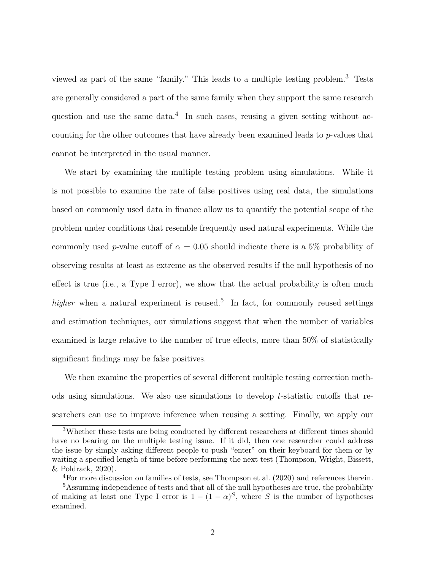viewed as part of the same "family." This leads to a multiple testing problem.[3](#page-4-0) Tests are generally considered a part of the same family when they support the same research question and use the same data.<sup>[4](#page-4-1)</sup> In such cases, reusing a given setting without accounting for the other outcomes that have already been examined leads to p-values that cannot be interpreted in the usual manner.

We start by examining the multiple testing problem using simulations. While it is not possible to examine the rate of false positives using real data, the simulations based on commonly used data in finance allow us to quantify the potential scope of the problem under conditions that resemble frequently used natural experiments. While the commonly used p-value cutoff of  $\alpha = 0.05$  should indicate there is a 5% probability of observing results at least as extreme as the observed results if the null hypothesis of no effect is true (i.e., a Type I error), we show that the actual probability is often much higher when a natural experiment is reused.<sup>[5](#page-4-2)</sup> In fact, for commonly reused settings and estimation techniques, our simulations suggest that when the number of variables examined is large relative to the number of true effects, more than 50% of statistically significant findings may be false positives.

We then examine the properties of several different multiple testing correction methods using simulations. We also use simulations to develop t-statistic cutoffs that researchers can use to improve inference when reusing a setting. Finally, we apply our

<span id="page-4-0"></span><sup>3</sup>Whether these tests are being conducted by different researchers at different times should have no bearing on the multiple testing issue. If it did, then one researcher could address the issue by simply asking different people to push "enter" on their keyboard for them or by waiting a specified length of time before performing the next test [\(Thompson, Wright, Bissett,](#page-41-1) [& Poldrack,](#page-41-1) [2020\)](#page-41-1).

<span id="page-4-2"></span><span id="page-4-1"></span><sup>&</sup>lt;sup>4</sup>For more discussion on families of tests, see [Thompson et al.](#page-41-1) [\(2020\)](#page-41-1) and references therein.

<sup>&</sup>lt;sup>5</sup>Assuming independence of tests and that all of the null hypotheses are true, the probability of making at least one Type I error is  $1 - (1 - \alpha)^S$ , where S is the number of hypotheses examined.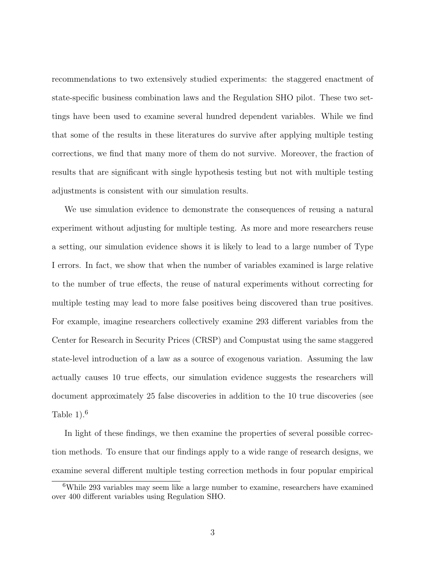recommendations to two extensively studied experiments: the staggered enactment of state-specific business combination laws and the Regulation SHO pilot. These two settings have been used to examine several hundred dependent variables. While we find that some of the results in these literatures do survive after applying multiple testing corrections, we find that many more of them do not survive. Moreover, the fraction of results that are significant with single hypothesis testing but not with multiple testing adjustments is consistent with our simulation results.

We use simulation evidence to demonstrate the consequences of reusing a natural experiment without adjusting for multiple testing. As more and more researchers reuse a setting, our simulation evidence shows it is likely to lead to a large number of Type I errors. In fact, we show that when the number of variables examined is large relative to the number of true effects, the reuse of natural experiments without correcting for multiple testing may lead to more false positives being discovered than true positives. For example, imagine researchers collectively examine 293 different variables from the Center for Research in Security Prices (CRSP) and Compustat using the same staggered state-level introduction of a law as a source of exogenous variation. Assuming the law actually causes 10 true effects, our simulation evidence suggests the researchers will document approximately 25 false discoveries in addition to the 10 true discoveries (see Table  $1$ ).<sup>[6](#page-5-0)</sup>

In light of these findings, we then examine the properties of several possible correction methods. To ensure that our findings apply to a wide range of research designs, we examine several different multiple testing correction methods in four popular empirical

<span id="page-5-0"></span><sup>6</sup>While 293 variables may seem like a large number to examine, researchers have examined over 400 different variables using Regulation SHO.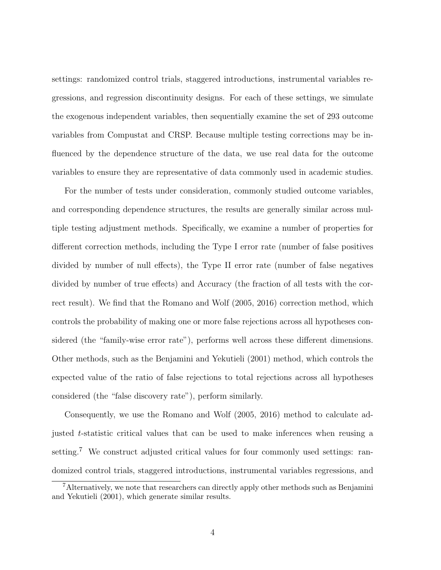settings: randomized control trials, staggered introductions, instrumental variables regressions, and regression discontinuity designs. For each of these settings, we simulate the exogenous independent variables, then sequentially examine the set of 293 outcome variables from Compustat and CRSP. Because multiple testing corrections may be influenced by the dependence structure of the data, we use real data for the outcome variables to ensure they are representative of data commonly used in academic studies.

For the number of tests under consideration, commonly studied outcome variables, and corresponding dependence structures, the results are generally similar across multiple testing adjustment methods. Specifically, we examine a number of properties for different correction methods, including the Type I error rate (number of false positives divided by number of null effects), the Type II error rate (number of false negatives divided by number of true effects) and Accuracy (the fraction of all tests with the correct result). We find that the [Romano and Wolf](#page-40-1) [\(2005,](#page-40-1) [2016\)](#page-41-2) correction method, which controls the probability of making one or more false rejections across all hypotheses considered (the "family-wise error rate"), performs well across these different dimensions. Other methods, such as the [Benjamini and Yekutieli](#page-37-2) [\(2001\)](#page-37-2) method, which controls the expected value of the ratio of false rejections to total rejections across all hypotheses considered (the "false discovery rate"), perform similarly.

Consequently, we use the [Romano and Wolf](#page-40-1) [\(2005,](#page-40-1) [2016\)](#page-41-2) method to calculate adjusted t-statistic critical values that can be used to make inferences when reusing a setting.<sup>[7](#page-6-0)</sup> We construct adjusted critical values for four commonly used settings: randomized control trials, staggered introductions, instrumental variables regressions, and

<span id="page-6-0"></span><sup>7</sup>Alternatively, we note that researchers can directly apply other methods such as [Benjamini](#page-37-2) [and Yekutieli](#page-37-2) [\(2001\)](#page-37-2), which generate similar results.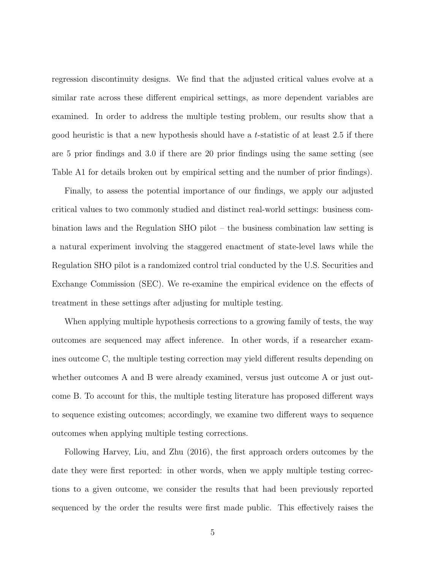regression discontinuity designs. We find that the adjusted critical values evolve at a similar rate across these different empirical settings, as more dependent variables are examined. In order to address the multiple testing problem, our results show that a good heuristic is that a new hypothesis should have a  $t$ -statistic of at least 2.5 if there are 5 prior findings and 3.0 if there are 20 prior findings using the same setting (see Table [A1](#page-49-0) for details broken out by empirical setting and the number of prior findings).

Finally, to assess the potential importance of our findings, we apply our adjusted critical values to two commonly studied and distinct real-world settings: business combination laws and the Regulation SHO pilot – the business combination law setting is a natural experiment involving the staggered enactment of state-level laws while the Regulation SHO pilot is a randomized control trial conducted by the U.S. Securities and Exchange Commission (SEC). We re-examine the empirical evidence on the effects of treatment in these settings after adjusting for multiple testing.

When applying multiple hypothesis corrections to a growing family of tests, the way outcomes are sequenced may affect inference. In other words, if a researcher examines outcome C, the multiple testing correction may yield different results depending on whether outcomes A and B were already examined, versus just outcome A or just outcome B. To account for this, the multiple testing literature has proposed different ways to sequence existing outcomes; accordingly, we examine two different ways to sequence outcomes when applying multiple testing corrections.

Following [Harvey, Liu, and Zhu](#page-39-1) [\(2016\)](#page-39-1), the first approach orders outcomes by the date they were first reported: in other words, when we apply multiple testing corrections to a given outcome, we consider the results that had been previously reported sequenced by the order the results were first made public. This effectively raises the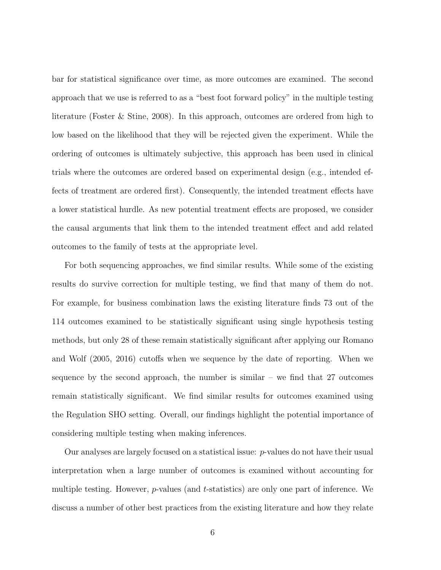bar for statistical significance over time, as more outcomes are examined. The second approach that we use is referred to as a "best foot forward policy" in the multiple testing literature [\(Foster & Stine,](#page-39-2) [2008\)](#page-39-2). In this approach, outcomes are ordered from high to low based on the likelihood that they will be rejected given the experiment. While the ordering of outcomes is ultimately subjective, this approach has been used in clinical trials where the outcomes are ordered based on experimental design (e.g., intended effects of treatment are ordered first). Consequently, the intended treatment effects have a lower statistical hurdle. As new potential treatment effects are proposed, we consider the causal arguments that link them to the intended treatment effect and add related outcomes to the family of tests at the appropriate level.

For both sequencing approaches, we find similar results. While some of the existing results do survive correction for multiple testing, we find that many of them do not. For example, for business combination laws the existing literature finds 73 out of the 114 outcomes examined to be statistically significant using single hypothesis testing methods, but only 28 of these remain statistically significant after applying our [Romano](#page-40-1) [and Wolf](#page-40-1) [\(2005,](#page-40-1) [2016\)](#page-41-2) cutoffs when we sequence by the date of reporting. When we sequence by the second approach, the number is similar  $-$  we find that 27 outcomes remain statistically significant. We find similar results for outcomes examined using the Regulation SHO setting. Overall, our findings highlight the potential importance of considering multiple testing when making inferences.

Our analyses are largely focused on a statistical issue:  $p$ -values do not have their usual interpretation when a large number of outcomes is examined without accounting for multiple testing. However,  $p$ -values (and t-statistics) are only one part of inference. We discuss a number of other best practices from the existing literature and how they relate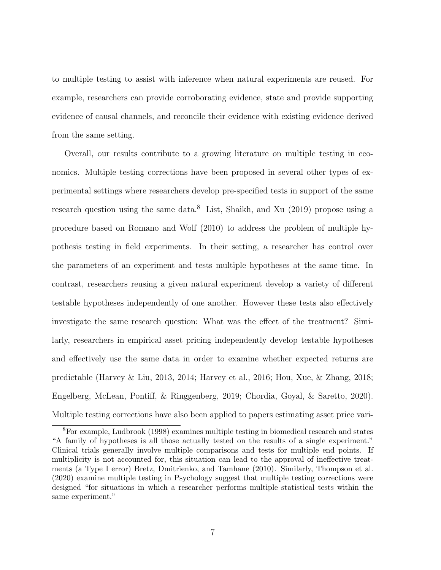to multiple testing to assist with inference when natural experiments are reused. For example, researchers can provide corroborating evidence, state and provide supporting evidence of causal channels, and reconcile their evidence with existing evidence derived from the same setting.

Overall, our results contribute to a growing literature on multiple testing in economics. Multiple testing corrections have been proposed in several other types of experimental settings where researchers develop pre-specified tests in support of the same research question using the same data.<sup>[8](#page-9-0)</sup> [List, Shaikh, and Xu](#page-40-2) [\(2019\)](#page-40-2) propose using a procedure based on [Romano and Wolf](#page-40-3) [\(2010\)](#page-40-3) to address the problem of multiple hypothesis testing in field experiments. In their setting, a researcher has control over the parameters of an experiment and tests multiple hypotheses at the same time. In contrast, researchers reusing a given natural experiment develop a variety of different testable hypotheses independently of one another. However these tests also effectively investigate the same research question: What was the effect of the treatment? Similarly, researchers in empirical asset pricing independently develop testable hypotheses and effectively use the same data in order to examine whether expected returns are predictable [\(Harvey & Liu,](#page-39-3) [2013,](#page-39-3) [2014;](#page-39-4) [Harvey et al.,](#page-39-1) [2016;](#page-39-1) [Hou, Xue, & Zhang,](#page-39-5) [2018;](#page-39-5) [Engelberg, McLean, Pontiff, & Ringgenberg,](#page-38-1) [2019;](#page-38-1) [Chordia, Goyal, & Saretto,](#page-38-2) [2020\)](#page-38-2). Multiple testing corrections have also been applied to papers estimating asset price vari-

<span id="page-9-0"></span><sup>8</sup>For example, [Ludbrook](#page-40-4) [\(1998\)](#page-40-4) examines multiple testing in biomedical research and states "A family of hypotheses is all those actually tested on the results of a single experiment." Clinical trials generally involve multiple comparisons and tests for multiple end points. If multiplicity is not accounted for, this situation can lead to the approval of ineffective treatments (a Type I error) [Bretz, Dmitrienko, and Tamhane](#page-38-3) [\(2010\)](#page-38-3). Similarly, [Thompson et al.](#page-41-1) [\(2020\)](#page-41-1) examine multiple testing in Psychology suggest that multiple testing corrections were designed "for situations in which a researcher performs multiple statistical tests within the same experiment."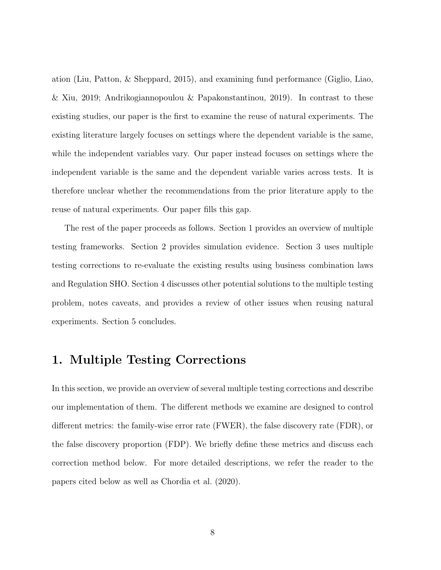ation [\(Liu, Patton, & Sheppard,](#page-40-5) [2015\)](#page-40-5), and examining fund performance [\(Giglio, Liao,](#page-39-6) [& Xiu,](#page-39-6) [2019;](#page-39-6) [Andrikogiannopoulou & Papakonstantinou,](#page-37-3) [2019\)](#page-37-3). In contrast to these existing studies, our paper is the first to examine the reuse of natural experiments. The existing literature largely focuses on settings where the dependent variable is the same, while the independent variables vary. Our paper instead focuses on settings where the independent variable is the same and the dependent variable varies across tests. It is therefore unclear whether the recommendations from the prior literature apply to the reuse of natural experiments. Our paper fills this gap.

The rest of the paper proceeds as follows. Section [1](#page-10-0) provides an overview of multiple testing frameworks. Section [2](#page-13-0) provides simulation evidence. Section [3](#page-22-0) uses multiple testing corrections to re-evaluate the existing results using business combination laws and Regulation SHO. Section [4](#page-30-0) discusses other potential solutions to the multiple testing problem, notes caveats, and provides a review of other issues when reusing natural experiments. Section [5](#page-35-0) concludes.

## <span id="page-10-0"></span>1. Multiple Testing Corrections

In this section, we provide an overview of several multiple testing corrections and describe our implementation of them. The different methods we examine are designed to control different metrics: the family-wise error rate (FWER), the false discovery rate (FDR), or the false discovery proportion (FDP). We briefly define these metrics and discuss each correction method below. For more detailed descriptions, we refer the reader to the papers cited below as well as [Chordia et al.](#page-38-2) [\(2020\)](#page-38-2).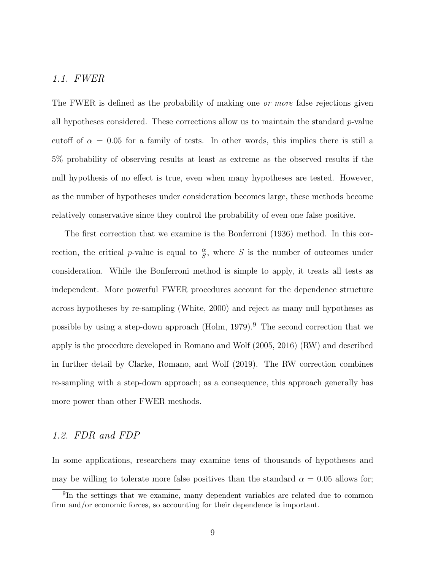#### 1.1. FWER

The FWER is defined as the probability of making one *or more* false rejections given all hypotheses considered. These corrections allow us to maintain the standard  $p$ -value cutoff of  $\alpha = 0.05$  for a family of tests. In other words, this implies there is still a 5% probability of observing results at least as extreme as the observed results if the null hypothesis of no effect is true, even when many hypotheses are tested. However, as the number of hypotheses under consideration becomes large, these methods become relatively conservative since they control the probability of even one false positive.

The first correction that we examine is the [Bonferroni](#page-38-4) [\(1936\)](#page-38-4) method. In this correction, the critical p-value is equal to  $\frac{\alpha}{S}$ , where S is the number of outcomes under consideration. While the Bonferroni method is simple to apply, it treats all tests as independent. More powerful FWER procedures account for the dependence structure across hypotheses by re-sampling [\(White,](#page-41-3) [2000\)](#page-41-3) and reject as many null hypotheses as possible by using a step-down approach [\(Holm,](#page-39-7)  $1979$  $1979$  $1979$ ).<sup>9</sup> The second correction that we apply is the procedure developed in [Romano and Wolf](#page-40-1) [\(2005,](#page-40-1) [2016\)](#page-41-2) (RW) and described in further detail by [Clarke, Romano, and Wolf](#page-38-5) [\(2019\)](#page-38-5). The RW correction combines re-sampling with a step-down approach; as a consequence, this approach generally has more power than other FWER methods.

#### 1.2. FDR and FDP

In some applications, researchers may examine tens of thousands of hypotheses and may be willing to tolerate more false positives than the standard  $\alpha = 0.05$  allows for;

<span id="page-11-0"></span><sup>&</sup>lt;sup>9</sup>In the settings that we examine, many dependent variables are related due to common firm and/or economic forces, so accounting for their dependence is important.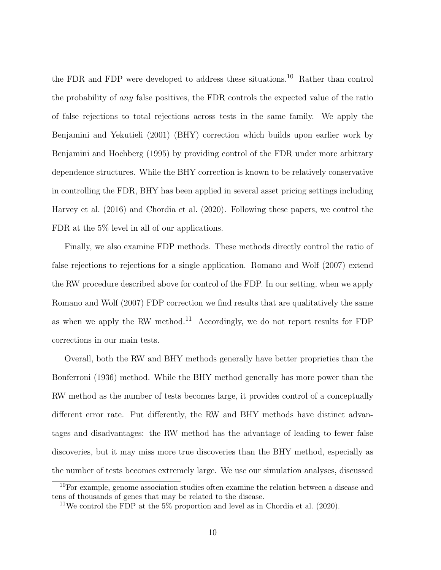the FDR and FDP were developed to address these situations.[10](#page-12-0) Rather than control the probability of any false positives, the FDR controls the expected value of the ratio of false rejections to total rejections across tests in the same family. We apply the [Benjamini and Yekutieli](#page-37-2) [\(2001\)](#page-37-2) (BHY) correction which builds upon earlier work by [Benjamini and Hochberg](#page-37-4) [\(1995\)](#page-37-4) by providing control of the FDR under more arbitrary dependence structures. While the BHY correction is known to be relatively conservative in controlling the FDR, BHY has been applied in several asset pricing settings including [Harvey et al.](#page-39-1) [\(2016\)](#page-39-1) and [Chordia et al.](#page-38-2) [\(2020\)](#page-38-2). Following these papers, we control the FDR at the 5% level in all of our applications.

Finally, we also examine FDP methods. These methods directly control the ratio of false rejections to rejections for a single application. [Romano and Wolf](#page-40-6) [\(2007\)](#page-40-6) extend the RW procedure described above for control of the FDP. In our setting, when we apply [Romano and Wolf](#page-40-6) [\(2007\)](#page-40-6) FDP correction we find results that are qualitatively the same as when we apply the RW method.<sup>[11](#page-12-1)</sup> Accordingly, we do not report results for FDP corrections in our main tests.

Overall, both the RW and BHY methods generally have better proprieties than the [Bonferroni](#page-38-4) [\(1936\)](#page-38-4) method. While the BHY method generally has more power than the RW method as the number of tests becomes large, it provides control of a conceptually different error rate. Put differently, the RW and BHY methods have distinct advantages and disadvantages: the RW method has the advantage of leading to fewer false discoveries, but it may miss more true discoveries than the BHY method, especially as the number of tests becomes extremely large. We use our simulation analyses, discussed

<span id="page-12-0"></span><sup>10</sup>For example, genome association studies often examine the relation between a disease and tens of thousands of genes that may be related to the disease.

<span id="page-12-1"></span><sup>&</sup>lt;sup>11</sup>We control the FDP at the 5% proportion and level as in [Chordia et al.](#page-38-2)  $(2020)$ .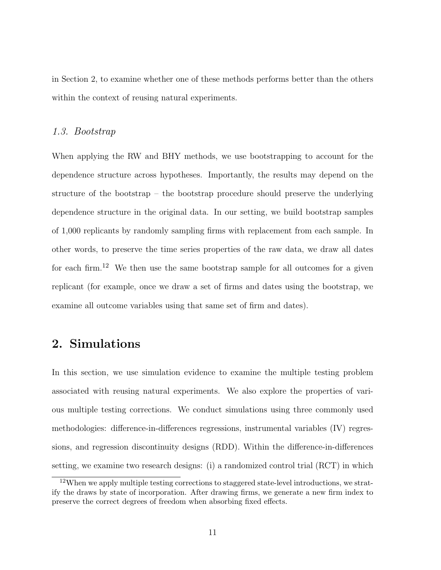in Section [2,](#page-13-0) to examine whether one of these methods performs better than the others within the context of reusing natural experiments.

#### 1.3. Bootstrap

When applying the RW and BHY methods, we use bootstrapping to account for the dependence structure across hypotheses. Importantly, the results may depend on the structure of the bootstrap – the bootstrap procedure should preserve the underlying dependence structure in the original data. In our setting, we build bootstrap samples of 1,000 replicants by randomly sampling firms with replacement from each sample. In other words, to preserve the time series properties of the raw data, we draw all dates for each firm.<sup>[12](#page-13-1)</sup> We then use the same bootstrap sample for all outcomes for a given replicant (for example, once we draw a set of firms and dates using the bootstrap, we examine all outcome variables using that same set of firm and dates).

## <span id="page-13-0"></span>2. Simulations

In this section, we use simulation evidence to examine the multiple testing problem associated with reusing natural experiments. We also explore the properties of various multiple testing corrections. We conduct simulations using three commonly used methodologies: difference-in-differences regressions, instrumental variables (IV) regressions, and regression discontinuity designs (RDD). Within the difference-in-differences setting, we examine two research designs: (i) a randomized control trial (RCT) in which

<span id="page-13-1"></span> $12$ When we apply multiple testing corrections to staggered state-level introductions, we stratify the draws by state of incorporation. After drawing firms, we generate a new firm index to preserve the correct degrees of freedom when absorbing fixed effects.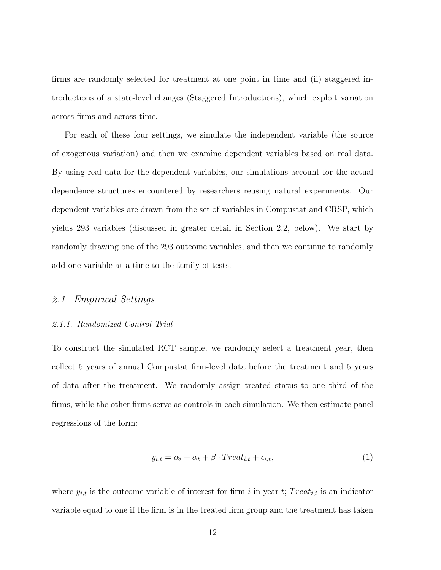firms are randomly selected for treatment at one point in time and (ii) staggered introductions of a state-level changes (Staggered Introductions), which exploit variation across firms and across time.

For each of these four settings, we simulate the independent variable (the source of exogenous variation) and then we examine dependent variables based on real data. By using real data for the dependent variables, our simulations account for the actual dependence structures encountered by researchers reusing natural experiments. Our dependent variables are drawn from the set of variables in Compustat and CRSP, which yields 293 variables (discussed in greater detail in Section [2.2,](#page-17-0) below). We start by randomly drawing one of the 293 outcome variables, and then we continue to randomly add one variable at a time to the family of tests.

#### 2.1. Empirical Settings

#### 2.1.1. Randomized Control Trial

To construct the simulated RCT sample, we randomly select a treatment year, then collect 5 years of annual Compustat firm-level data before the treatment and 5 years of data after the treatment. We randomly assign treated status to one third of the firms, while the other firms serve as controls in each simulation. We then estimate panel regressions of the form:

$$
y_{i,t} = \alpha_i + \alpha_t + \beta \cdot Treat_{i,t} + \epsilon_{i,t},\tag{1}
$$

where  $y_{i,t}$  is the outcome variable of interest for firm i in year t; Treat<sub>i,t</sub> is an indicator variable equal to one if the firm is in the treated firm group and the treatment has taken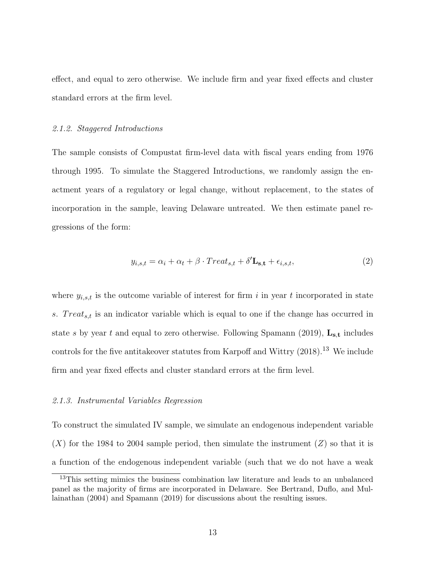effect, and equal to zero otherwise. We include firm and year fixed effects and cluster standard errors at the firm level.

#### 2.1.2. Staggered Introductions

The sample consists of Compustat firm-level data with fiscal years ending from 1976 through 1995. To simulate the Staggered Introductions, we randomly assign the enactment years of a regulatory or legal change, without replacement, to the states of incorporation in the sample, leaving Delaware untreated. We then estimate panel regressions of the form:

$$
y_{i,s,t} = \alpha_i + \alpha_t + \beta \cdot Treat_{s,t} + \delta' \mathbf{L}_{s,t} + \epsilon_{i,s,t},\tag{2}
$$

where  $y_{i,s,t}$  is the outcome variable of interest for firm i in year t incorporated in state s.  $Treat_{s,t}$  is an indicator variable which is equal to one if the change has occurred in state s by year t and equal to zero otherwise. Following [Spamann](#page-41-4) [\(2019\)](#page-41-4),  $\mathbf{L_{s,t}}$  includes controls for the five antitakeover statutes from [Karpoff and Wittry](#page-39-8)  $(2018).<sup>13</sup>$  $(2018).<sup>13</sup>$  $(2018).<sup>13</sup>$  $(2018).<sup>13</sup>$  We include firm and year fixed effects and cluster standard errors at the firm level.

#### 2.1.3. Instrumental Variables Regression

To construct the simulated IV sample, we simulate an endogenous independent variable  $(X)$  for the 1984 to 2004 sample period, then simulate the instrument  $(Z)$  so that it is a function of the endogenous independent variable (such that we do not have a weak

<span id="page-15-0"></span><sup>&</sup>lt;sup>13</sup>This setting mimics the business combination law literature and leads to an unbalanced panel as the majority of firms are incorporated in Delaware. See [Bertrand, Duflo, and Mul](#page-37-5)[lainathan](#page-37-5) [\(2004\)](#page-37-5) and [Spamann](#page-41-4) [\(2019\)](#page-41-4) for discussions about the resulting issues.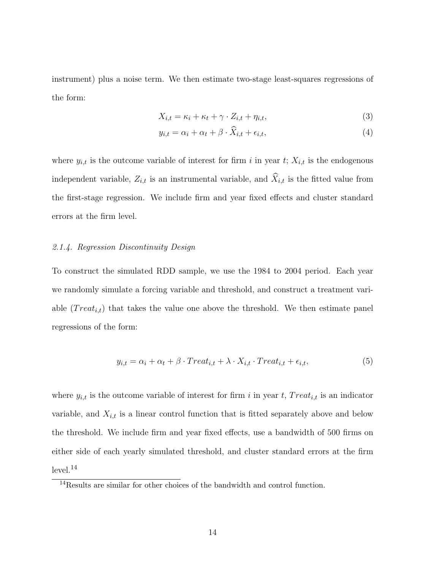instrument) plus a noise term. We then estimate two-stage least-squares regressions of the form:

$$
X_{i,t} = \kappa_i + \kappa_t + \gamma \cdot Z_{i,t} + \eta_{i,t},\tag{3}
$$

$$
y_{i,t} = \alpha_i + \alpha_t + \beta \cdot \hat{X}_{i,t} + \epsilon_{i,t},\tag{4}
$$

where  $y_{i,t}$  is the outcome variable of interest for firm i in year t;  $X_{i,t}$  is the endogenous independent variable,  $Z_{i,t}$  is an instrumental variable, and  $\widehat{X}_{i,t}$  is the fitted value from the first-stage regression. We include firm and year fixed effects and cluster standard errors at the firm level.

#### 2.1.4. Regression Discontinuity Design

To construct the simulated RDD sample, we use the 1984 to 2004 period. Each year we randomly simulate a forcing variable and threshold, and construct a treatment variable  $(Treat_{i,t})$  that takes the value one above the threshold. We then estimate panel regressions of the form:

$$
y_{i,t} = \alpha_i + \alpha_t + \beta \cdot Treat_{i,t} + \lambda \cdot X_{i,t} \cdot Treat_{i,t} + \epsilon_{i,t}, \tag{5}
$$

where  $y_{i,t}$  is the outcome variable of interest for firm i in year t, Treat<sub>i,t</sub> is an indicator variable, and  $X_{i,t}$  is a linear control function that is fitted separately above and below the threshold. We include firm and year fixed effects, use a bandwidth of 500 firms on either side of each yearly simulated threshold, and cluster standard errors at the firm  $level.<sup>14</sup>$  $level.<sup>14</sup>$  $level.<sup>14</sup>$ 

<span id="page-16-0"></span> $\rm ^{14}Results$  are similar for other choices of the bandwidth and control function.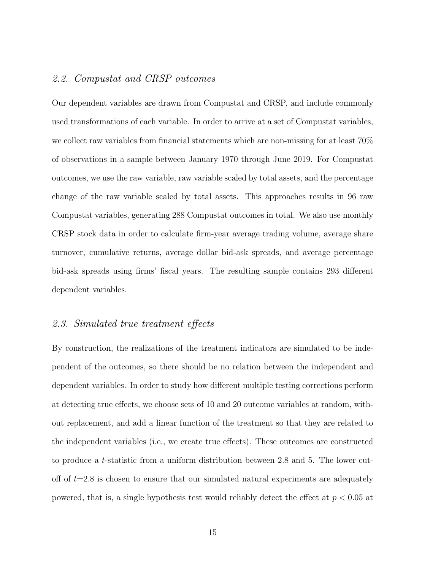### <span id="page-17-0"></span>2.2. Compustat and CRSP outcomes

Our dependent variables are drawn from Compustat and CRSP, and include commonly used transformations of each variable. In order to arrive at a set of Compustat variables, we collect raw variables from financial statements which are non-missing for at least 70% of observations in a sample between January 1970 through June 2019. For Compustat outcomes, we use the raw variable, raw variable scaled by total assets, and the percentage change of the raw variable scaled by total assets. This approaches results in 96 raw Compustat variables, generating 288 Compustat outcomes in total. We also use monthly CRSP stock data in order to calculate firm-year average trading volume, average share turnover, cumulative returns, average dollar bid-ask spreads, and average percentage bid-ask spreads using firms' fiscal years. The resulting sample contains 293 different dependent variables.

## 2.3. Simulated true treatment effects

By construction, the realizations of the treatment indicators are simulated to be independent of the outcomes, so there should be no relation between the independent and dependent variables. In order to study how different multiple testing corrections perform at detecting true effects, we choose sets of 10 and 20 outcome variables at random, without replacement, and add a linear function of the treatment so that they are related to the independent variables (i.e., we create true effects). These outcomes are constructed to produce a t-statistic from a uniform distribution between 2.8 and 5. The lower cutoff of  $t=2.8$  is chosen to ensure that our simulated natural experiments are adequately powered, that is, a single hypothesis test would reliably detect the effect at  $p < 0.05$  at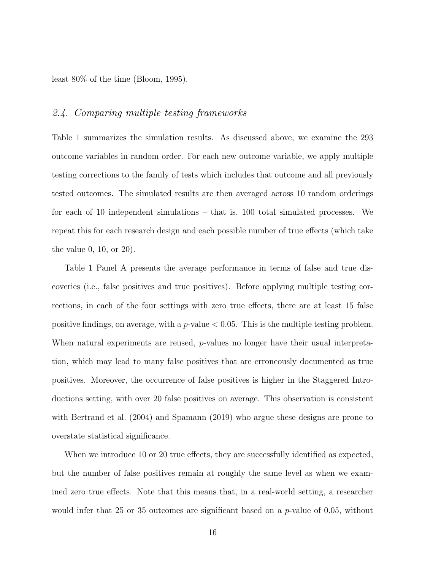least 80% of the time [\(Bloom,](#page-37-6) [1995\)](#page-37-6).

### 2.4. Comparing multiple testing frameworks

Table [1](#page-42-0) summarizes the simulation results. As discussed above, we examine the 293 outcome variables in random order. For each new outcome variable, we apply multiple testing corrections to the family of tests which includes that outcome and all previously tested outcomes. The simulated results are then averaged across 10 random orderings for each of 10 independent simulations – that is, 100 total simulated processes. We repeat this for each research design and each possible number of true effects (which take the value 0, 10, or 20).

Table [1](#page-42-0) Panel A presents the average performance in terms of false and true discoveries (i.e., false positives and true positives). Before applying multiple testing corrections, in each of the four settings with zero true effects, there are at least 15 false positive findings, on average, with a  $p$ -value  $< 0.05$ . This is the multiple testing problem. When natural experiments are reused, *p*-values no longer have their usual interpretation, which may lead to many false positives that are erroneously documented as true positives. Moreover, the occurrence of false positives is higher in the Staggered Introductions setting, with over 20 false positives on average. This observation is consistent with [Bertrand et al.](#page-37-5) [\(2004\)](#page-37-5) and [Spamann](#page-41-4) [\(2019\)](#page-41-4) who argue these designs are prone to overstate statistical significance.

When we introduce 10 or 20 true effects, they are successfully identified as expected, but the number of false positives remain at roughly the same level as when we examined zero true effects. Note that this means that, in a real-world setting, a researcher would infer that 25 or 35 outcomes are significant based on a  $p$ -value of 0.05, without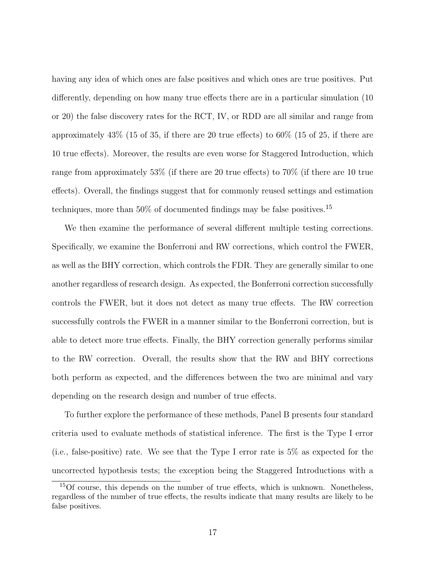having any idea of which ones are false positives and which ones are true positives. Put differently, depending on how many true effects there are in a particular simulation (10 or 20) the false discovery rates for the RCT, IV, or RDD are all similar and range from approximately 43% (15 of 35, if there are 20 true effects) to 60% (15 of 25, if there are 10 true effects). Moreover, the results are even worse for Staggered Introduction, which range from approximately 53% (if there are 20 true effects) to 70% (if there are 10 true effects). Overall, the findings suggest that for commonly reused settings and estimation techniques, more than 50% of documented findings may be false positives.<sup>[15](#page-19-0)</sup>

We then examine the performance of several different multiple testing corrections. Specifically, we examine the Bonferroni and RW corrections, which control the FWER, as well as the BHY correction, which controls the FDR. They are generally similar to one another regardless of research design. As expected, the Bonferroni correction successfully controls the FWER, but it does not detect as many true effects. The RW correction successfully controls the FWER in a manner similar to the Bonferroni correction, but is able to detect more true effects. Finally, the BHY correction generally performs similar to the RW correction. Overall, the results show that the RW and BHY corrections both perform as expected, and the differences between the two are minimal and vary depending on the research design and number of true effects.

To further explore the performance of these methods, Panel B presents four standard criteria used to evaluate methods of statistical inference. The first is the Type I error (i.e., false-positive) rate. We see that the Type I error rate is 5% as expected for the uncorrected hypothesis tests; the exception being the Staggered Introductions with a

<span id="page-19-0"></span><sup>15</sup>Of course, this depends on the number of true effects, which is unknown. Nonetheless, regardless of the number of true effects, the results indicate that many results are likely to be false positives.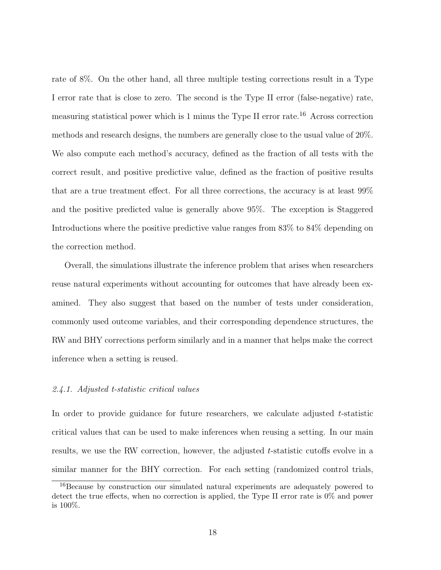rate of 8%. On the other hand, all three multiple testing corrections result in a Type I error rate that is close to zero. The second is the Type II error (false-negative) rate, measuring statistical power which is 1 minus the Type II error rate.<sup>[16](#page-20-0)</sup> Across correction methods and research designs, the numbers are generally close to the usual value of 20%. We also compute each method's accuracy, defined as the fraction of all tests with the correct result, and positive predictive value, defined as the fraction of positive results that are a true treatment effect. For all three corrections, the accuracy is at least 99% and the positive predicted value is generally above 95%. The exception is Staggered Introductions where the positive predictive value ranges from 83% to 84% depending on the correction method.

Overall, the simulations illustrate the inference problem that arises when researchers reuse natural experiments without accounting for outcomes that have already been examined. They also suggest that based on the number of tests under consideration, commonly used outcome variables, and their corresponding dependence structures, the RW and BHY corrections perform similarly and in a manner that helps make the correct inference when a setting is reused.

#### 2.4.1. Adjusted t-statistic critical values

In order to provide guidance for future researchers, we calculate adjusted  $t$ -statistic critical values that can be used to make inferences when reusing a setting. In our main results, we use the RW correction, however, the adjusted t-statistic cutoffs evolve in a similar manner for the BHY correction. For each setting (randomized control trials,

<span id="page-20-0"></span><sup>16</sup>Because by construction our simulated natural experiments are adequately powered to detect the true effects, when no correction is applied, the Type II error rate is 0% and power is 100%.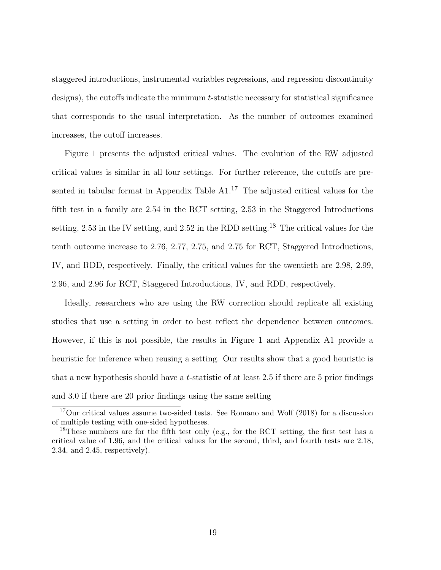staggered introductions, instrumental variables regressions, and regression discontinuity designs), the cutoffs indicate the minimum t-statistic necessary for statistical significance that corresponds to the usual interpretation. As the number of outcomes examined increases, the cutoff increases.

Figure [1](#page-45-0) presents the adjusted critical values. The evolution of the RW adjusted critical values is similar in all four settings. For further reference, the cutoffs are pre-sented in tabular format in Appendix Table [A1.](#page-49-0)<sup>[17](#page-21-0)</sup> The adjusted critical values for the fifth test in a family are 2.54 in the RCT setting, 2.53 in the Staggered Introductions setting, 2.53 in the IV setting, and 2.52 in the RDD setting.<sup>[18](#page-21-1)</sup> The critical values for the tenth outcome increase to 2.76, 2.77, 2.75, and 2.75 for RCT, Staggered Introductions, IV, and RDD, respectively. Finally, the critical values for the twentieth are 2.98, 2.99, 2.96, and 2.96 for RCT, Staggered Introductions, IV, and RDD, respectively.

Ideally, researchers who are using the RW correction should replicate all existing studies that use a setting in order to best reflect the dependence between outcomes. However, if this is not possible, the results in Figure [1](#page-45-0) and Appendix [A1](#page-49-0) provide a heuristic for inference when reusing a setting. Our results show that a good heuristic is that a new hypothesis should have a t-statistic of at least 2.5 if there are 5 prior findings and 3.0 if there are 20 prior findings using the same setting

<span id="page-21-0"></span><sup>&</sup>lt;sup>17</sup>Our critical values assume two-sided tests. See [Romano and Wolf](#page-41-5) [\(2018\)](#page-41-5) for a discussion of multiple testing with one-sided hypotheses.

<span id="page-21-1"></span><sup>&</sup>lt;sup>18</sup>These numbers are for the fifth test only (e.g., for the RCT setting, the first test has a critical value of 1.96, and the critical values for the second, third, and fourth tests are 2.18, 2.34, and 2.45, respectively).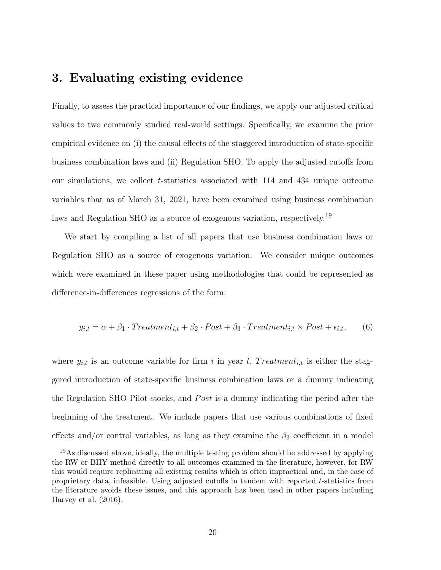## <span id="page-22-0"></span>3. Evaluating existing evidence

Finally, to assess the practical importance of our findings, we apply our adjusted critical values to two commonly studied real-world settings. Specifically, we examine the prior empirical evidence on (i) the causal effects of the staggered introduction of state-specific business combination laws and (ii) Regulation SHO. To apply the adjusted cutoffs from our simulations, we collect  $t$ -statistics associated with 114 and 434 unique outcome variables that as of March 31, 2021, have been examined using business combination laws and Regulation SHO as a source of exogenous variation, respectively.[19](#page-22-1)

We start by compiling a list of all papers that use business combination laws or Regulation SHO as a source of exogenous variation. We consider unique outcomes which were examined in these paper using methodologies that could be represented as difference-in-differences regressions of the form:

$$
y_{i,t} = \alpha + \beta_1 \cdot Treatment_{i,t} + \beta_2 \cdot Post + \beta_3 \cdot Treatment_{i,t} \times Post + \epsilon_{i,t}, \qquad (6)
$$

where  $y_{i,t}$  is an outcome variable for firm i in year t, Treatment<sub>i,t</sub> is either the staggered introduction of state-specific business combination laws or a dummy indicating the Regulation SHO Pilot stocks, and *Post* is a dummy indicating the period after the beginning of the treatment. We include papers that use various combinations of fixed effects and/or control variables, as long as they examine the  $\beta_3$  coefficient in a model

<span id="page-22-1"></span> $19\text{As discussed above, ideally, the multiple testing problem should be addressed by applying}$ the RW or BHY method directly to all outcomes examined in the literature, however, for RW this would require replicating all existing results which is often impractical and, in the case of proprietary data, infeasible. Using adjusted cutoffs in tandem with reported t-statistics from the literature avoids these issues, and this approach has been used in other papers including [Harvey et al.](#page-39-1) [\(2016\)](#page-39-1).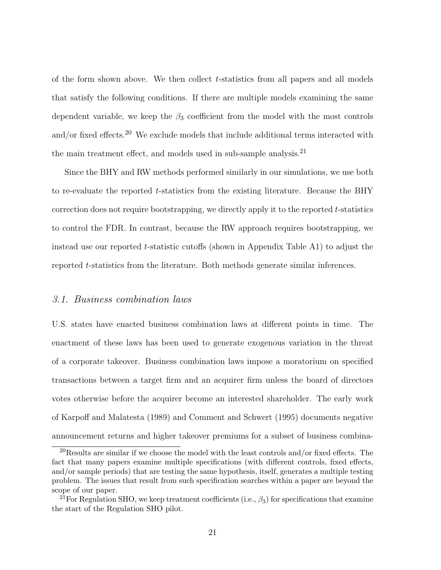of the form shown above. We then collect t-statistics from all papers and all models that satisfy the following conditions. If there are multiple models examining the same dependent variable, we keep the  $\beta_3$  coefficient from the model with the most controls and/or fixed effects.<sup>[20](#page-23-0)</sup> We exclude models that include additional terms interacted with the main treatment effect, and models used in sub-sample analysis.<sup>[21](#page-23-1)</sup>

Since the BHY and RW methods performed similarly in our simulations, we use both to re-evaluate the reported t-statistics from the existing literature. Because the BHY correction does not require bootstrapping, we directly apply it to the reported  $t$ -statistics to control the FDR. In contrast, because the RW approach requires bootstrapping, we instead use our reported  $t$ -statistic cutoffs (shown in Appendix Table [A1\)](#page-49-0) to adjust the reported t-statistics from the literature. Both methods generate similar inferences.

#### 3.1. Business combination laws

U.S. states have enacted business combination laws at different points in time. The enactment of these laws has been used to generate exogenous variation in the threat of a corporate takeover. Business combination laws impose a moratorium on specified transactions between a target firm and an acquirer firm unless the board of directors votes otherwise before the acquirer become an interested shareholder. The early work of [Karpoff and Malatesta](#page-39-9) [\(1989\)](#page-39-9) and [Comment and Schwert](#page-38-6) [\(1995\)](#page-38-6) documents negative announcement returns and higher takeover premiums for a subset of business combina-

<span id="page-23-0"></span> $^{20}\rm{Results}$  are similar if we choose the model with the least controls and/or fixed effects. The fact that many papers examine multiple specifications (with different controls, fixed effects, and/or sample periods) that are testing the same hypothesis, itself, generates a multiple testing problem. The issues that result from such specification searches within a paper are beyond the scope of our paper.

<span id="page-23-1"></span><sup>&</sup>lt;sup>21</sup>For Regulation SHO, we keep treatment coefficients (i.e.,  $\beta_3$ ) for specifications that examine the start of the Regulation SHO pilot.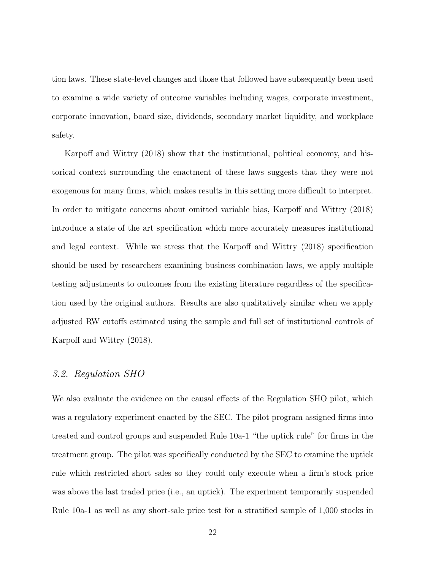tion laws. These state-level changes and those that followed have subsequently been used to examine a wide variety of outcome variables including wages, corporate investment, corporate innovation, board size, dividends, secondary market liquidity, and workplace safety.

[Karpoff and Wittry](#page-39-8) [\(2018\)](#page-39-8) show that the institutional, political economy, and historical context surrounding the enactment of these laws suggests that they were not exogenous for many firms, which makes results in this setting more difficult to interpret. In order to mitigate concerns about omitted variable bias, [Karpoff and Wittry](#page-39-8) [\(2018\)](#page-39-8) introduce a state of the art specification which more accurately measures institutional and legal context. While we stress that the [Karpoff and Wittry](#page-39-8) [\(2018\)](#page-39-8) specification should be used by researchers examining business combination laws, we apply multiple testing adjustments to outcomes from the existing literature regardless of the specification used by the original authors. Results are also qualitatively similar when we apply adjusted RW cutoffs estimated using the sample and full set of institutional controls of [Karpoff and Wittry](#page-39-8) [\(2018\)](#page-39-8).

#### 3.2. Regulation SHO

We also evaluate the evidence on the causal effects of the Regulation SHO pilot, which was a regulatory experiment enacted by the SEC. The pilot program assigned firms into treated and control groups and suspended Rule 10a-1 "the uptick rule" for firms in the treatment group. The pilot was specifically conducted by the SEC to examine the uptick rule which restricted short sales so they could only execute when a firm's stock price was above the last traded price (i.e., an uptick). The experiment temporarily suspended Rule 10a-1 as well as any short-sale price test for a stratified sample of 1,000 stocks in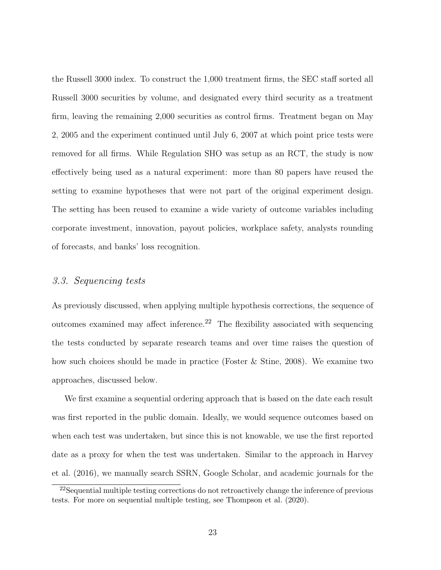the Russell 3000 index. To construct the 1,000 treatment firms, the SEC staff sorted all Russell 3000 securities by volume, and designated every third security as a treatment firm, leaving the remaining 2,000 securities as control firms. Treatment began on May 2, 2005 and the experiment continued until July 6, 2007 at which point price tests were removed for all firms. While Regulation SHO was setup as an RCT, the study is now effectively being used as a natural experiment: more than 80 papers have reused the setting to examine hypotheses that were not part of the original experiment design. The setting has been reused to examine a wide variety of outcome variables including corporate investment, innovation, payout policies, workplace safety, analysts rounding of forecasts, and banks' loss recognition.

### 3.3. Sequencing tests

As previously discussed, when applying multiple hypothesis corrections, the sequence of outcomes examined may affect inference.<sup>[22](#page-25-0)</sup> The flexibility associated with sequencing the tests conducted by separate research teams and over time raises the question of how such choices should be made in practice [\(Foster & Stine,](#page-39-2) [2008\)](#page-39-2). We examine two approaches, discussed below.

We first examine a sequential ordering approach that is based on the date each result was first reported in the public domain. Ideally, we would sequence outcomes based on when each test was undertaken, but since this is not knowable, we use the first reported date as a proxy for when the test was undertaken. Similar to the approach in [Harvey](#page-39-1) [et al.](#page-39-1) [\(2016\)](#page-39-1), we manually search SSRN, Google Scholar, and academic journals for the

<span id="page-25-0"></span><sup>22</sup>Sequential multiple testing corrections do not retroactively change the inference of previous tests. For more on sequential multiple testing, see [Thompson et al.](#page-41-1) [\(2020\)](#page-41-1).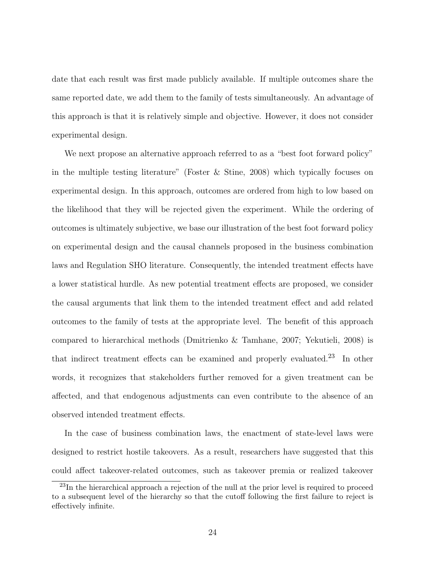date that each result was first made publicly available. If multiple outcomes share the same reported date, we add them to the family of tests simultaneously. An advantage of this approach is that it is relatively simple and objective. However, it does not consider experimental design.

We next propose an alternative approach referred to as a "best foot forward policy" in the multiple testing literature" [\(Foster & Stine,](#page-39-2) [2008\)](#page-39-2) which typically focuses on experimental design. In this approach, outcomes are ordered from high to low based on the likelihood that they will be rejected given the experiment. While the ordering of outcomes is ultimately subjective, we base our illustration of the best foot forward policy on experimental design and the causal channels proposed in the business combination laws and Regulation SHO literature. Consequently, the intended treatment effects have a lower statistical hurdle. As new potential treatment effects are proposed, we consider the causal arguments that link them to the intended treatment effect and add related outcomes to the family of tests at the appropriate level. The benefit of this approach compared to hierarchical methods [\(Dmitrienko & Tamhane,](#page-38-7) [2007;](#page-38-7) [Yekutieli,](#page-41-6) [2008\)](#page-41-6) is that indirect treatment effects can be examined and properly evaluated.<sup>[23](#page-26-0)</sup> In other words, it recognizes that stakeholders further removed for a given treatment can be affected, and that endogenous adjustments can even contribute to the absence of an observed intended treatment effects.

In the case of business combination laws, the enactment of state-level laws were designed to restrict hostile takeovers. As a result, researchers have suggested that this could affect takeover-related outcomes, such as takeover premia or realized takeover

<span id="page-26-0"></span><sup>&</sup>lt;sup>23</sup>In the hierarchical approach a rejection of the null at the prior level is required to proceed to a subsequent level of the hierarchy so that the cutoff following the first failure to reject is effectively infinite.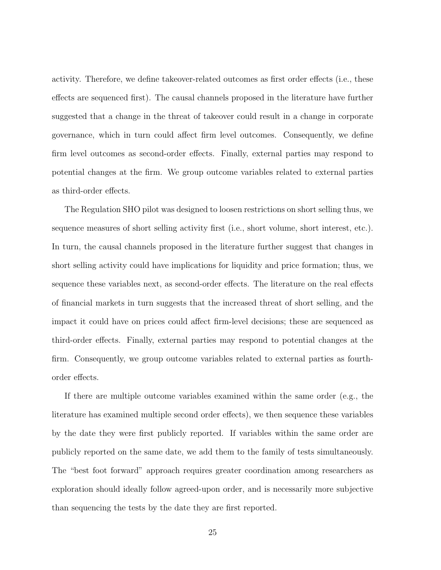activity. Therefore, we define takeover-related outcomes as first order effects (i.e., these effects are sequenced first). The causal channels proposed in the literature have further suggested that a change in the threat of takeover could result in a change in corporate governance, which in turn could affect firm level outcomes. Consequently, we define firm level outcomes as second-order effects. Finally, external parties may respond to potential changes at the firm. We group outcome variables related to external parties as third-order effects.

The Regulation SHO pilot was designed to loosen restrictions on short selling thus, we sequence measures of short selling activity first (i.e., short volume, short interest, etc.). In turn, the causal channels proposed in the literature further suggest that changes in short selling activity could have implications for liquidity and price formation; thus, we sequence these variables next, as second-order effects. The literature on the real effects of financial markets in turn suggests that the increased threat of short selling, and the impact it could have on prices could affect firm-level decisions; these are sequenced as third-order effects. Finally, external parties may respond to potential changes at the firm. Consequently, we group outcome variables related to external parties as fourthorder effects.

If there are multiple outcome variables examined within the same order (e.g., the literature has examined multiple second order effects), we then sequence these variables by the date they were first publicly reported. If variables within the same order are publicly reported on the same date, we add them to the family of tests simultaneously. The "best foot forward" approach requires greater coordination among researchers as exploration should ideally follow agreed-upon order, and is necessarily more subjective than sequencing the tests by the date they are first reported.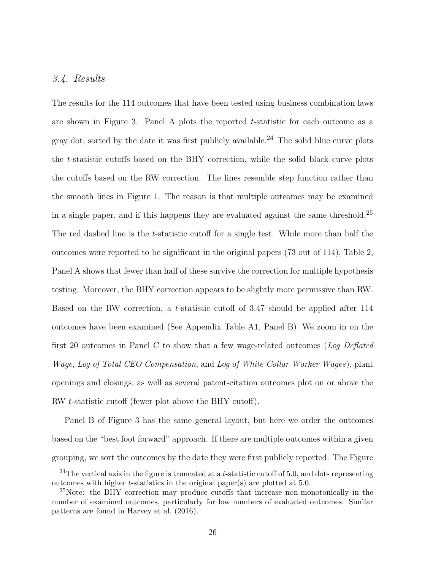#### 3.4. Results

The results for the 114 outcomes that have been tested using business combination laws are shown in Figure [3.](#page-47-0) Panel A plots the reported t-statistic for each outcome as a gray dot, sorted by the date it was first publicly available.<sup>[24](#page-28-0)</sup> The solid blue curve plots the t-statistic cutoffs based on the BHY correction, while the solid black curve plots the cutoffs based on the RW correction. The lines resemble step function rather than the smooth lines in Figure [1.](#page-45-0) The reason is that multiple outcomes may be examined in a single paper, and if this happens they are evaluated against the same threshold.[25](#page-28-1) The red dashed line is the t-statistic cutoff for a single test. While more than half the outcomes were reported to be significant in the original papers (73 out of 114), Table [2,](#page-44-0) Panel A shows that fewer than half of these survive the correction for multiple hypothesis testing. Moreover, the BHY correction appears to be slightly more permissive than RW. Based on the RW correction, a t-statistic cutoff of 3.47 should be applied after 114 outcomes have been examined (See Appendix Table [A1,](#page-49-0) Panel B). We zoom in on the first 20 outcomes in Panel C to show that a few wage-related outcomes (Log Deflated Wage, Log of Total CEO Compensation, and Log of White Collar Worker Wages), plant openings and closings, as well as several patent-citation outcomes plot on or above the RW t-statistic cutoff (fewer plot above the BHY cutoff).

Panel B of Figure [3](#page-47-0) has the same general layout, but here we order the outcomes based on the "best foot forward" approach. If there are multiple outcomes within a given grouping, we sort the outcomes by the date they were first publicly reported. The Figure

<span id="page-28-0"></span><sup>&</sup>lt;sup>24</sup>The vertical axis in the figure is truncated at a t-statistic cutoff of 5.0, and dots representing outcomes with higher t-statistics in the original paper(s) are plotted at 5.0.

<span id="page-28-1"></span><sup>&</sup>lt;sup>25</sup>Note: the BHY correction may produce cutoffs that increase non-monotonically in the number of examined outcomes, particularly for low numbers of evaluated outcomes. Similar patterns are found in [Harvey et al.](#page-39-1) [\(2016\)](#page-39-1).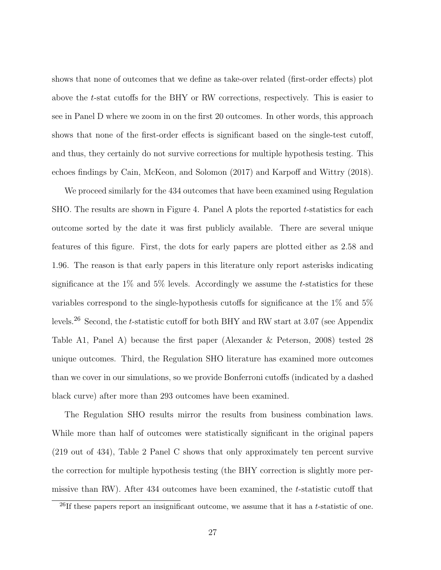shows that none of outcomes that we define as take-over related (first-order effects) plot above the t-stat cutoffs for the BHY or RW corrections, respectively. This is easier to see in Panel D where we zoom in on the first 20 outcomes. In other words, this approach shows that none of the first-order effects is significant based on the single-test cutoff, and thus, they certainly do not survive corrections for multiple hypothesis testing. This echoes findings by [Cain, McKeon, and Solomon](#page-38-8) [\(2017\)](#page-38-8) and [Karpoff and Wittry](#page-39-8) [\(2018\)](#page-39-8).

We proceed similarly for the 434 outcomes that have been examined using Regulation SHO. The results are shown in Figure [4.](#page-48-0) Panel A plots the reported t-statistics for each outcome sorted by the date it was first publicly available. There are several unique features of this figure. First, the dots for early papers are plotted either as 2.58 and 1.96. The reason is that early papers in this literature only report asterisks indicating significance at the  $1\%$  and  $5\%$  levels. Accordingly we assume the *t*-statistics for these variables correspond to the single-hypothesis cutoffs for significance at the 1% and 5% levels.<sup>[26](#page-29-0)</sup> Second, the *t*-statistic cutoff for both BHY and RW start at 3.07 (see Appendix Table [A1,](#page-49-0) Panel A) because the first paper [\(Alexander & Peterson,](#page-37-7) [2008\)](#page-37-7) tested 28 unique outcomes. Third, the Regulation SHO literature has examined more outcomes than we cover in our simulations, so we provide Bonferroni cutoffs (indicated by a dashed black curve) after more than 293 outcomes have been examined.

The Regulation SHO results mirror the results from business combination laws. While more than half of outcomes were statistically significant in the original papers (219 out of 434), Table [2](#page-44-0) Panel C shows that only approximately ten percent survive the correction for multiple hypothesis testing (the BHY correction is slightly more permissive than RW). After 434 outcomes have been examined, the t-statistic cutoff that

<span id="page-29-0"></span> $^{26}$ If these papers report an insignificant outcome, we assume that it has a t-statistic of one.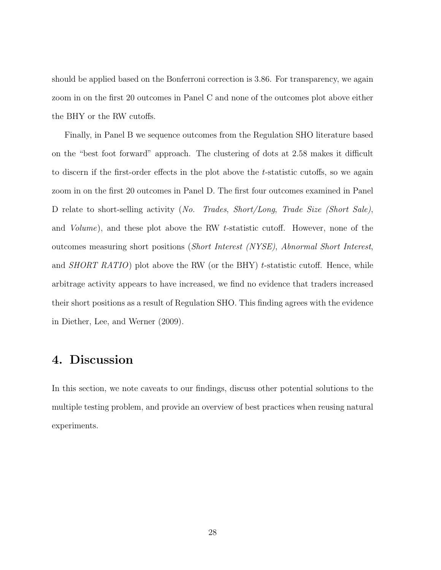should be applied based on the Bonferroni correction is 3.86. For transparency, we again zoom in on the first 20 outcomes in Panel C and none of the outcomes plot above either the BHY or the RW cutoffs.

Finally, in Panel B we sequence outcomes from the Regulation SHO literature based on the "best foot forward" approach. The clustering of dots at 2.58 makes it difficult to discern if the first-order effects in the plot above the t-statistic cutoffs, so we again zoom in on the first 20 outcomes in Panel D. The first four outcomes examined in Panel D relate to short-selling activity (No. Trades, Short/Long, Trade Size (Short Sale), and Volume), and these plot above the RW t-statistic cutoff. However, none of the outcomes measuring short positions (Short Interest (NYSE), Abnormal Short Interest, and *SHORT RATIO*) plot above the RW (or the BHY) t-statistic cutoff. Hence, while arbitrage activity appears to have increased, we find no evidence that traders increased their short positions as a result of Regulation SHO. This finding agrees with the evidence in [Diether, Lee, and Werner](#page-38-9) [\(2009\)](#page-38-9).

## <span id="page-30-0"></span>4. Discussion

In this section, we note caveats to our findings, discuss other potential solutions to the multiple testing problem, and provide an overview of best practices when reusing natural experiments.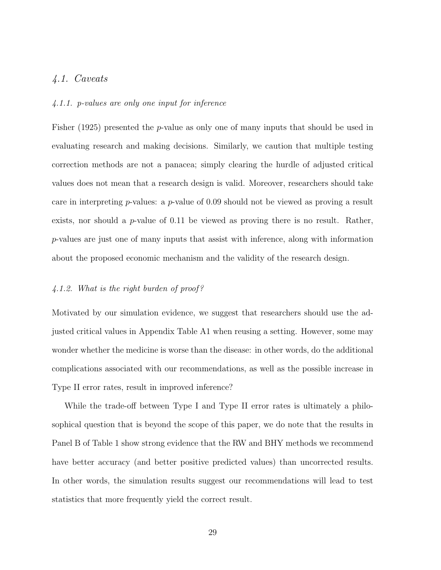## 4.1. Caveats

#### 4.1.1. p-values are only one input for inference

[Fisher](#page-39-10) [\(1925\)](#page-39-10) presented the p-value as only one of many inputs that should be used in evaluating research and making decisions. Similarly, we caution that multiple testing correction methods are not a panacea; simply clearing the hurdle of adjusted critical values does not mean that a research design is valid. Moreover, researchers should take care in interpreting  $p$ -values: a  $p$ -value of 0.09 should not be viewed as proving a result exists, nor should a  $p$ -value of 0.11 be viewed as proving there is no result. Rather, p-values are just one of many inputs that assist with inference, along with information about the proposed economic mechanism and the validity of the research design.

#### 4.1.2. What is the right burden of proof ?

Motivated by our simulation evidence, we suggest that researchers should use the adjusted critical values in Appendix Table [A1](#page-49-0) when reusing a setting. However, some may wonder whether the medicine is worse than the disease: in other words, do the additional complications associated with our recommendations, as well as the possible increase in Type II error rates, result in improved inference?

While the trade-off between Type I and Type II error rates is ultimately a philosophical question that is beyond the scope of this paper, we do note that the results in Panel B of Table [1](#page-42-0) show strong evidence that the RW and BHY methods we recommend have better accuracy (and better positive predicted values) than uncorrected results. In other words, the simulation results suggest our recommendations will lead to test statistics that more frequently yield the correct result.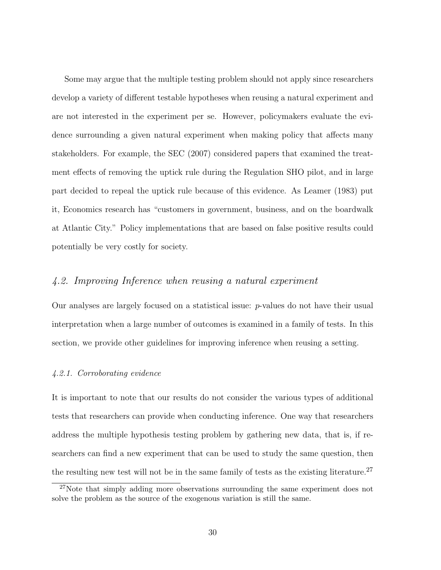Some may argue that the multiple testing problem should not apply since researchers develop a variety of different testable hypotheses when reusing a natural experiment and are not interested in the experiment per se. However, policymakers evaluate the evidence surrounding a given natural experiment when making policy that affects many stakeholders. For example, the [SEC](#page-41-7) [\(2007\)](#page-41-7) considered papers that examined the treatment effects of removing the uptick rule during the Regulation SHO pilot, and in large part decided to repeal the uptick rule because of this evidence. As [Leamer](#page-39-11) [\(1983\)](#page-39-11) put it, Economics research has "customers in government, business, and on the boardwalk at Atlantic City." Policy implementations that are based on false positive results could potentially be very costly for society.

## 4.2. Improving Inference when reusing a natural experiment

Our analyses are largely focused on a statistical issue: p-values do not have their usual interpretation when a large number of outcomes is examined in a family of tests. In this section, we provide other guidelines for improving inference when reusing a setting.

#### 4.2.1. Corroborating evidence

It is important to note that our results do not consider the various types of additional tests that researchers can provide when conducting inference. One way that researchers address the multiple hypothesis testing problem by gathering new data, that is, if researchers can find a new experiment that can be used to study the same question, then the resulting new test will not be in the same family of tests as the existing literature.<sup>[27](#page-32-0)</sup>

<span id="page-32-0"></span><sup>27</sup>Note that simply adding more observations surrounding the same experiment does not solve the problem as the source of the exogenous variation is still the same.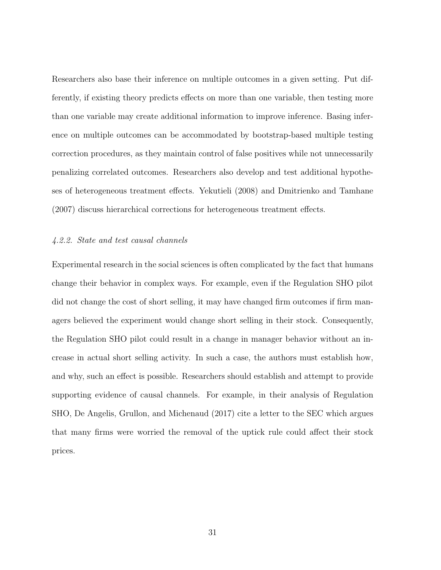Researchers also base their inference on multiple outcomes in a given setting. Put differently, if existing theory predicts effects on more than one variable, then testing more than one variable may create additional information to improve inference. Basing inference on multiple outcomes can be accommodated by bootstrap-based multiple testing correction procedures, as they maintain control of false positives while not unnecessarily penalizing correlated outcomes. Researchers also develop and test additional hypotheses of heterogeneous treatment effects. [Yekutieli](#page-41-6) [\(2008\)](#page-41-6) and [Dmitrienko and Tamhane](#page-38-7) [\(2007\)](#page-38-7) discuss hierarchical corrections for heterogeneous treatment effects.

#### 4.2.2. State and test causal channels

Experimental research in the social sciences is often complicated by the fact that humans change their behavior in complex ways. For example, even if the Regulation SHO pilot did not change the cost of short selling, it may have changed firm outcomes if firm managers believed the experiment would change short selling in their stock. Consequently, the Regulation SHO pilot could result in a change in manager behavior without an increase in actual short selling activity. In such a case, the authors must establish how, and why, such an effect is possible. Researchers should establish and attempt to provide supporting evidence of causal channels. For example, in their analysis of Regulation SHO, [De Angelis, Grullon, and Michenaud](#page-38-10) [\(2017\)](#page-38-10) cite a letter to the SEC which argues that many firms were worried the removal of the uptick rule could affect their stock prices.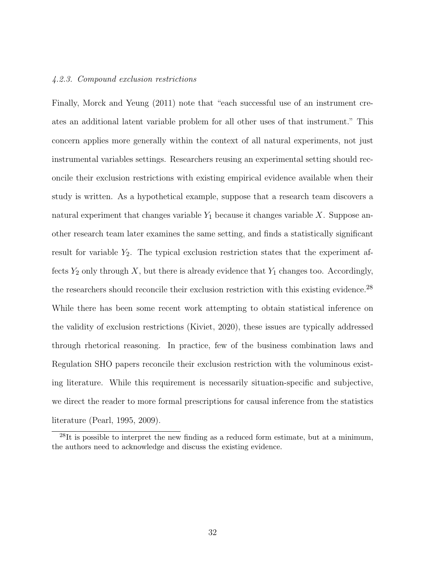#### 4.2.3. Compound exclusion restrictions

Finally, [Morck and Yeung](#page-40-7) [\(2011\)](#page-40-7) note that "each successful use of an instrument creates an additional latent variable problem for all other uses of that instrument." This concern applies more generally within the context of all natural experiments, not just instrumental variables settings. Researchers reusing an experimental setting should reconcile their exclusion restrictions with existing empirical evidence available when their study is written. As a hypothetical example, suppose that a research team discovers a natural experiment that changes variable  $Y_1$  because it changes variable X. Suppose another research team later examines the same setting, and finds a statistically significant result for variable  $Y_2$ . The typical exclusion restriction states that the experiment affects  $Y_2$  only through X, but there is already evidence that  $Y_1$  changes too. Accordingly, the researchers should reconcile their exclusion restriction with this existing evidence.<sup>[28](#page-34-0)</sup> While there has been some recent work attempting to obtain statistical inference on the validity of exclusion restrictions (Kiviet, 2020), these issues are typically addressed through rhetorical reasoning. In practice, few of the business combination laws and Regulation SHO papers reconcile their exclusion restriction with the voluminous existing literature. While this requirement is necessarily situation-specific and subjective, we direct the reader to more formal prescriptions for causal inference from the statistics literature [\(Pearl,](#page-40-8) [1995,](#page-40-8) [2009\)](#page-40-9).

<span id="page-34-0"></span> $^{28}$ It is possible to interpret the new finding as a reduced form estimate, but at a minimum, the authors need to acknowledge and discuss the existing evidence.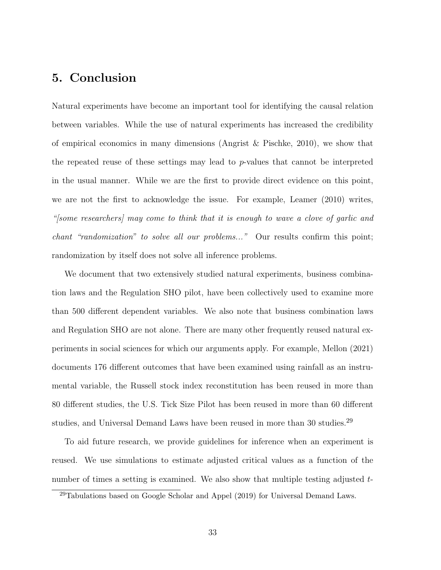# <span id="page-35-0"></span>5. Conclusion

Natural experiments have become an important tool for identifying the causal relation between variables. While the use of natural experiments has increased the credibility of empirical economics in many dimensions (Angrist  $\&$  Pischke, [2010\)](#page-37-0), we show that the repeated reuse of these settings may lead to p-values that cannot be interpreted in the usual manner. While we are the first to provide direct evidence on this point, we are not the first to acknowledge the issue. For example, [Leamer](#page-40-10) [\(2010\)](#page-40-10) writes, "[some researchers] may come to think that it is enough to wave a clove of garlic and chant "randomization" to solve all our problems..." Our results confirm this point; randomization by itself does not solve all inference problems.

We document that two extensively studied natural experiments, business combination laws and the Regulation SHO pilot, have been collectively used to examine more than 500 different dependent variables. We also note that business combination laws and Regulation SHO are not alone. There are many other frequently reused natural experiments in social sciences for which our arguments apply. For example, [Mellon](#page-40-11) [\(2021\)](#page-40-11) documents 176 different outcomes that have been examined using rainfall as an instrumental variable, the Russell stock index reconstitution has been reused in more than 80 different studies, the U.S. Tick Size Pilot has been reused in more than 60 different studies, and Universal Demand Laws have been reused in more than 30 studies.<sup>[29](#page-35-1)</sup>

To aid future research, we provide guidelines for inference when an experiment is reused. We use simulations to estimate adjusted critical values as a function of the number of times a setting is examined. We also show that multiple testing adjusted t-

<span id="page-35-1"></span> $^{29}$ Tabulations based on Google Scholar and [Appel](#page-37-8) [\(2019\)](#page-37-8) for Universal Demand Laws.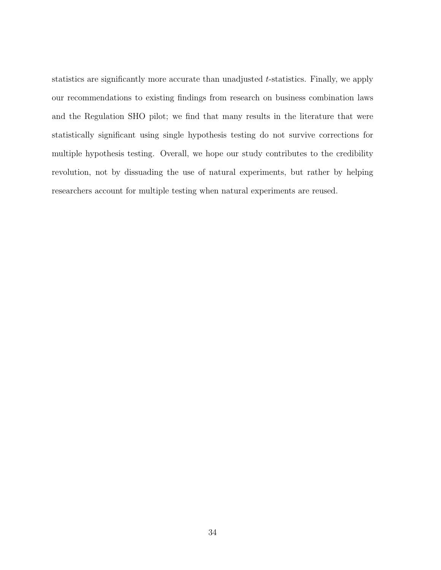statistics are significantly more accurate than unadjusted t-statistics. Finally, we apply our recommendations to existing findings from research on business combination laws and the Regulation SHO pilot; we find that many results in the literature that were statistically significant using single hypothesis testing do not survive corrections for multiple hypothesis testing. Overall, we hope our study contributes to the credibility revolution, not by dissuading the use of natural experiments, but rather by helping researchers account for multiple testing when natural experiments are reused.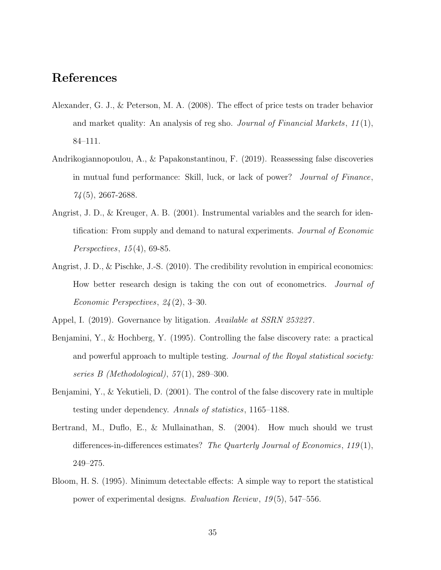# <span id="page-37-9"></span>References

- <span id="page-37-7"></span>Alexander, G. J., & Peterson, M. A. (2008). The effect of price tests on trader behavior and market quality: An analysis of reg sho. *Journal of Financial Markets*,  $11(1)$ , 84–111.
- <span id="page-37-3"></span>Andrikogiannopoulou, A., & Papakonstantinou, F. (2019). Reassessing false discoveries in mutual fund performance: Skill, luck, or lack of power? Journal of Finance,  $74(5)$ , 2667-2688.
- <span id="page-37-1"></span>Angrist, J. D., & Kreuger, A. B. (2001). Instrumental variables and the search for identification: From supply and demand to natural experiments. Journal of Economic Perspectives, 15 (4), 69-85.
- <span id="page-37-0"></span>Angrist, J. D., & Pischke, J.-S. (2010). The credibility revolution in empirical economics: How better research design is taking the con out of econometrics. Journal of Economic Perspectives, 24 (2), 3–30.
- <span id="page-37-8"></span><span id="page-37-4"></span>Appel, I. (2019). Governance by litigation. Available at SSRN 253227.
- Benjamini, Y., & Hochberg, Y. (1995). Controlling the false discovery rate: a practical and powerful approach to multiple testing. Journal of the Royal statistical society: series B (Methodological),  $57(1)$ , 289–300.
- <span id="page-37-2"></span>Benjamini, Y., & Yekutieli, D. (2001). The control of the false discovery rate in multiple testing under dependency. Annals of statistics, 1165–1188.
- <span id="page-37-5"></span>Bertrand, M., Duflo, E., & Mullainathan, S. (2004). How much should we trust differences-in-differences estimates? The Quarterly Journal of Economics,  $119(1)$ , 249–275.
- <span id="page-37-6"></span>Bloom, H. S. (1995). Minimum detectable effects: A simple way to report the statistical power of experimental designs. Evaluation Review, 19 (5), 547–556.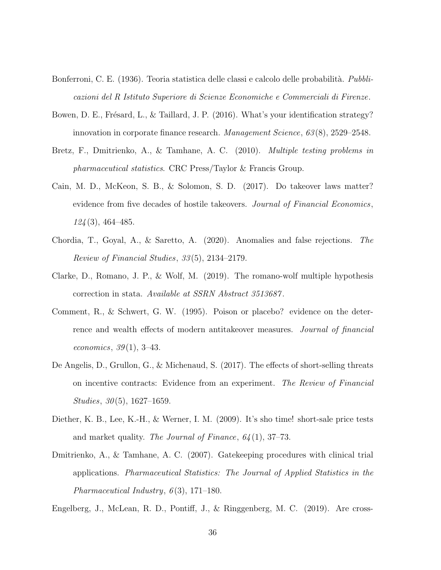- <span id="page-38-11"></span><span id="page-38-4"></span>Bonferroni, C. E. (1936). Teoria statistica delle classi e calcolo delle probabilità. Pubblicazioni del R Istituto Superiore di Scienze Economiche e Commerciali di Firenze.
- <span id="page-38-0"></span>Bowen, D. E., Frésard, L., & Taillard, J. P. (2016). What's your identification strategy? innovation in corporate finance research. Management Science, 63 (8), 2529–2548.
- <span id="page-38-3"></span>Bretz, F., Dmitrienko, A., & Tamhane, A. C. (2010). Multiple testing problems in pharmaceutical statistics. CRC Press/Taylor & Francis Group.
- <span id="page-38-8"></span>Cain, M. D., McKeon, S. B., & Solomon, S. D. (2017). Do takeover laws matter? evidence from five decades of hostile takeovers. Journal of Financial Economics, 124 (3), 464–485.
- <span id="page-38-2"></span>Chordia, T., Goyal, A., & Saretto, A. (2020). Anomalies and false rejections. The Review of Financial Studies, 33 (5), 2134–2179.
- <span id="page-38-5"></span>Clarke, D., Romano, J. P., & Wolf, M. (2019). The romano-wolf multiple hypothesis correction in stata. Available at SSRN Abstract 3513687 .
- <span id="page-38-6"></span>Comment, R., & Schwert, G. W. (1995). Poison or placebo? evidence on the deterrence and wealth effects of modern antitakeover measures. Journal of financial economics,  $39(1)$ , 3-43.
- <span id="page-38-10"></span>De Angelis, D., Grullon, G., & Michenaud, S. (2017). The effects of short-selling threats on incentive contracts: Evidence from an experiment. The Review of Financial Studies,  $30(5)$ , 1627–1659.
- <span id="page-38-9"></span>Diether, K. B., Lee, K.-H., & Werner, I. M. (2009). It's sho time! short-sale price tests and market quality. The Journal of Finance,  $64(1)$ , 37–73.
- <span id="page-38-7"></span>Dmitrienko, A., & Tamhane, A. C. (2007). Gatekeeping procedures with clinical trial applications. Pharmaceutical Statistics: The Journal of Applied Statistics in the Pharmaceutical Industry,  $6(3)$ , 171–180.

<span id="page-38-1"></span>Engelberg, J., McLean, R. D., Pontiff, J., & Ringgenberg, M. C. (2019). Are cross-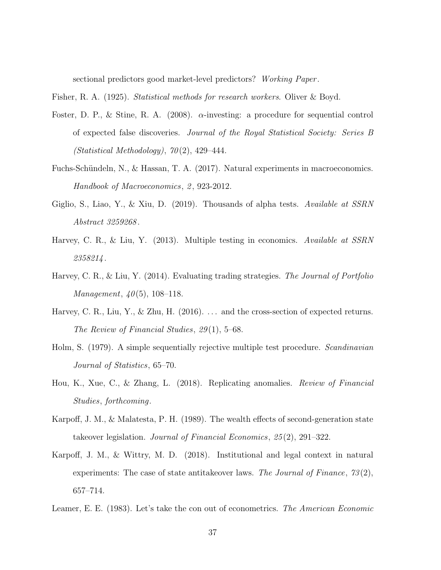sectional predictors good market-level predictors? Working Paper .

<span id="page-39-10"></span><span id="page-39-2"></span>Fisher, R. A. (1925). Statistical methods for research workers. Oliver & Boyd.

- Foster, D. P., & Stine, R. A. (2008).  $\alpha$ -investing: a procedure for sequential control of expected false discoveries. Journal of the Royal Statistical Society: Series B  $(Statistical Methodology), 70(2), 429-444.$
- <span id="page-39-0"></span>Fuchs-Schündeln, N., & Hassan, T. A. (2017). Natural experiments in macroeconomics. Handbook of Macroeconomics, 2, 923-2012.
- <span id="page-39-6"></span>Giglio, S., Liao, Y., & Xiu, D. (2019). Thousands of alpha tests. Available at SSRN Abstract 3259268 .
- <span id="page-39-3"></span>Harvey, C. R., & Liu, Y. (2013). Multiple testing in economics. Available at SSRN 2358214 .
- <span id="page-39-4"></span>Harvey, C. R., & Liu, Y. (2014). Evaluating trading strategies. The Journal of Portfolio *Management*,  $40(5)$ , 108-118.
- <span id="page-39-1"></span>Harvey, C. R., Liu, Y., & Zhu, H. (2016). ... and the cross-section of expected returns. The Review of Financial Studies, 29 (1), 5–68.
- <span id="page-39-7"></span>Holm, S. (1979). A simple sequentially rejective multiple test procedure. Scandinavian Journal of Statistics, 65–70.
- <span id="page-39-5"></span>Hou, K., Xue, C., & Zhang, L. (2018). Replicating anomalies. Review of Financial Studies, forthcoming.
- <span id="page-39-9"></span>Karpoff, J. M., & Malatesta, P. H. (1989). The wealth effects of second-generation state takeover legislation. Journal of Financial Economics, 25 (2), 291–322.
- <span id="page-39-8"></span>Karpoff, J. M., & Wittry, M. D. (2018). Institutional and legal context in natural experiments: The case of state antitakeover laws. The Journal of Finance,  $73(2)$ , 657–714.
- <span id="page-39-11"></span>Leamer, E. E. (1983). Let's take the con out of econometrics. The American Economic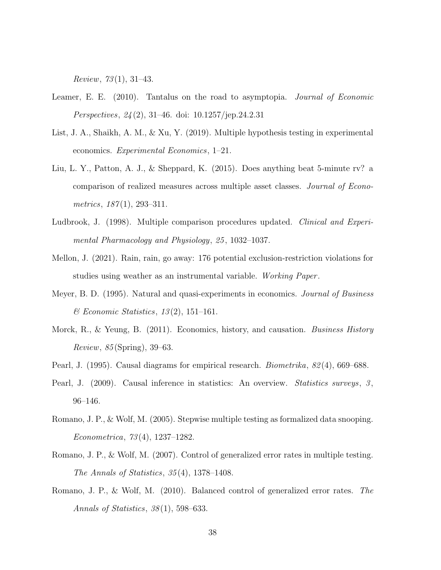<span id="page-40-12"></span>*Review, 73*(1), 31–43.

- <span id="page-40-10"></span>Leamer, E. E. (2010). Tantalus on the road to asymptopia. Journal of Economic Perspectives, 24 (2), 31–46. doi: 10.1257/jep.24.2.31
- <span id="page-40-2"></span>List, J. A., Shaikh, A. M., & Xu, Y. (2019). Multiple hypothesis testing in experimental economics. Experimental Economics, 1–21.
- <span id="page-40-5"></span>Liu, L. Y., Patton, A. J., & Sheppard, K. (2015). Does anything beat 5-minute rv? a comparison of realized measures across multiple asset classes. Journal of Econometrics,  $187(1)$ , 293-311.
- <span id="page-40-4"></span>Ludbrook, J. (1998). Multiple comparison procedures updated. *Clinical and Experi*mental Pharmacology and Physiology, 25 , 1032–1037.
- <span id="page-40-11"></span>Mellon, J. (2021). Rain, rain, go away: 176 potential exclusion-restriction violations for studies using weather as an instrumental variable. Working Paper.
- <span id="page-40-0"></span>Meyer, B. D. (1995). Natural and quasi-experiments in economics. Journal of Business  $\mathscr$ *Economic Statistics*, 13(2), 151–161.
- <span id="page-40-7"></span>Morck, R., & Yeung, B. (2011). Economics, history, and causation. Business History Review, 85 (Spring), 39–63.
- <span id="page-40-9"></span><span id="page-40-8"></span>Pearl, J. (1995). Causal diagrams for empirical research. *Biometrika*,  $82(4)$ , 669–688.
- Pearl, J. (2009). Causal inference in statistics: An overview. *Statistics surveys*,  $\beta$ , 96–146.
- <span id="page-40-1"></span>Romano, J. P., & Wolf, M. (2005). Stepwise multiple testing as formalized data snooping. Econometrica, 73 (4), 1237–1282.
- <span id="page-40-6"></span>Romano, J. P., & Wolf, M. (2007). Control of generalized error rates in multiple testing. The Annals of Statistics,  $35(4)$ , 1378-1408.
- <span id="page-40-3"></span>Romano, J. P., & Wolf, M. (2010). Balanced control of generalized error rates. The Annals of Statistics, 38 (1), 598–633.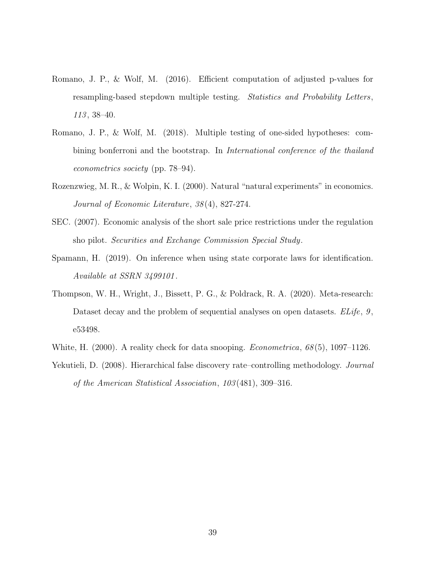- <span id="page-41-8"></span><span id="page-41-2"></span>Romano, J. P., & Wolf, M. (2016). Efficient computation of adjusted p-values for resampling-based stepdown multiple testing. Statistics and Probability Letters, 113, 38-40.
- <span id="page-41-5"></span>Romano, J. P., & Wolf, M. (2018). Multiple testing of one-sided hypotheses: combining bonferroni and the bootstrap. In International conference of the thailand econometrics society (pp. 78–94).
- <span id="page-41-0"></span>Rozenzwieg, M. R., & Wolpin, K. I. (2000). Natural "natural experiments" in economics. Journal of Economic Literature, 38 (4), 827-274.
- <span id="page-41-7"></span>SEC. (2007). Economic analysis of the short sale price restrictions under the regulation sho pilot. Securities and Exchange Commission Special Study.
- <span id="page-41-4"></span>Spamann, H. (2019). On inference when using state corporate laws for identification. Available at SSRN 3499101 .
- <span id="page-41-1"></span>Thompson, W. H., Wright, J., Bissett, P. G., & Poldrack, R. A. (2020). Meta-research: Dataset decay and the problem of sequential analyses on open datasets. ELife, 9, e53498.
- <span id="page-41-6"></span><span id="page-41-3"></span>White, H. (2000). A reality check for data snooping. *Econometrica*,  $68(5)$ , 1097–1126.
- Yekutieli, D. (2008). Hierarchical false discovery rate–controlling methodology. *Journal* of the American Statistical Association, 103 (481), 309–316.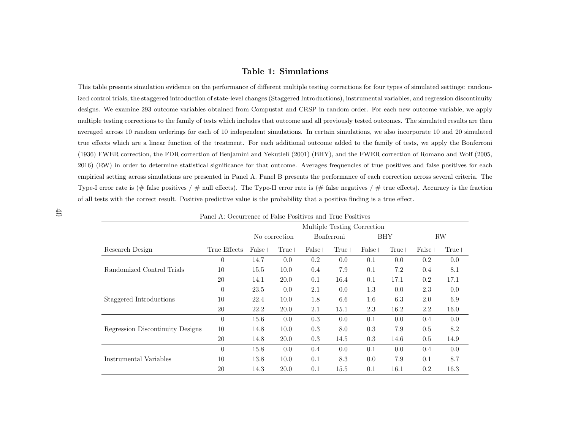#### <span id="page-42-0"></span>Table 1: Simulations

This table presents simulation evidence on the performance of different multiple testing corrections for four types of simulated settings: randomized control trials, the staggered introduction of state-level changes (Staggered Introductions), instrumental variables, and regression discontinuitydesigns. We examine 293 outcome variables obtained from Compustat and CRSP in random order. For each new outcome variable, we applymultiple testing corrections to the family of tests which includes that outcome and all previously tested outcomes. The simulated results are thenaveraged across 10 random orderings for each of 10 independent simulations. In certain simulations, we also incorporate 10 and 20 simulatedtrue effects which are <sup>a</sup> linear function of the treatment. For each additional outcome added to the family of tests, we apply the [Bonferroni](#page-38-11) [\(1936\)](#page-38-11) FWER correction, the FDR correction of [Benjamini](#page-37-9) and Yekutieli [\(2001\)](#page-37-9) (BHY), and the FWER correction of [Romano](#page-40-12) and Wolf [\(2005,](#page-40-12) [2016\)](#page-41-8) (RW) in order to determine statistical significance for that outcome. Averages frequencies of true positives and false positives for eachempirical setting across simulations are presented in Panel A. Panel B presents the performance of each correction across several criteria. TheType-I error rate is (# false positives / # null effects). The Type-II error rate is (# false negatives / # true effects). Accuracy is the fraction of all tests with the correct result. Positive predictive value is the probability that <sup>a</sup> positive finding is <sup>a</sup> true effect.

| Panel A: Occurrence of False Positives and True Positives |              |                             |               |            |         |          |       |          |         |  |
|-----------------------------------------------------------|--------------|-----------------------------|---------------|------------|---------|----------|-------|----------|---------|--|
|                                                           |              | Multiple Testing Correction |               |            |         |          |       |          |         |  |
|                                                           |              |                             | No correction | Bonferroni |         | BHY      |       | $\rm RW$ |         |  |
| Research Design                                           | True Effects | $False+$                    | $True+$       | $False+$   | $True+$ | $False+$ | True+ | False+   | $True+$ |  |
|                                                           | $\theta$     | 14.7                        | 0.0           | 0.2        | 0.0     | 0.1      | 0.0   | $0.2\,$  | 0.0     |  |
| Randomized Control Trials                                 | 10           | 15.5                        | 10.0          | 0.4        | 7.9     | 0.1      | 7.2   | 0.4      | 8.1     |  |
|                                                           | 20           | 14.1                        | 20.0          | 0.1        | 16.4    | 0.1      | 17.1  | 0.2      | 17.1    |  |
|                                                           | $\theta$     | 23.5                        | 0.0           | 2.1        | 0.0     | 1.3      | 0.0   | 2.3      | 0.0     |  |
| Staggered Introductions                                   | 10           | 22.4                        | 10.0          | 1.8        | 6.6     | 1.6      | 6.3   | 2.0      | 6.9     |  |
|                                                           | 20           | 22.2                        | 20.0          | 2.1        | 15.1    | 2.3      | 16.2  | 2.2      | 16.0    |  |
|                                                           | $\Omega$     | 15.6                        | 0.0           | 0.3        | 0.0     | 0.1      | 0.0   | 0.4      | 0.0     |  |
| Regression Discontinuity Designs                          | 10           | 14.8                        | 10.0          | 0.3        | 8.0     | 0.3      | 7.9   | 0.5      | 8.2     |  |
|                                                           | 20           | 14.8                        | 20.0          | 0.3        | 14.5    | 0.3      | 14.6  | 0.5      | 14.9    |  |
|                                                           | $\Omega$     | 15.8                        | 0.0           | 0.4        | 0.0     | 0.1      | 0.0   | 0.4      | 0.0     |  |
| Instrumental Variables                                    | 10           | 13.8                        | 10.0          | 0.1        | 8.3     | 0.0      | 7.9   | 0.1      | 8.7     |  |
|                                                           | 20           | 14.3                        | 20.0          | 0.1        | 15.5    | 0.1      | 16.1  | 0.2      | 16.3    |  |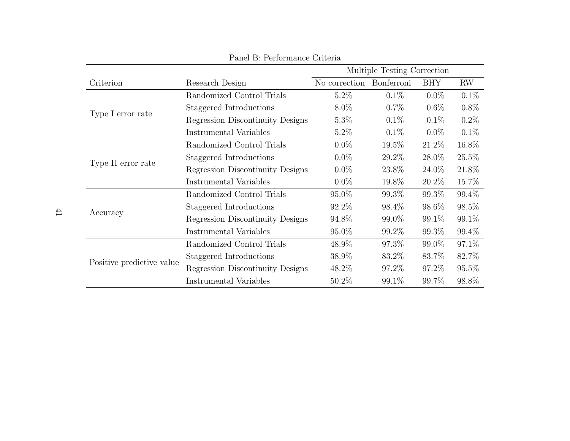|                           | Panel B: Performance Criteria    |          |                                                                             |                                                                                                                                                                    |                                                                                                  |
|---------------------------|----------------------------------|----------|-----------------------------------------------------------------------------|--------------------------------------------------------------------------------------------------------------------------------------------------------------------|--------------------------------------------------------------------------------------------------|
|                           |                                  |          |                                                                             |                                                                                                                                                                    |                                                                                                  |
| Criterion                 | Research Design                  |          |                                                                             | <b>BHY</b>                                                                                                                                                         | RW                                                                                               |
|                           | Randomized Control Trials        | $5.2\%$  | $0.1\%$                                                                     | $0.0\%$                                                                                                                                                            | $0.1\%$                                                                                          |
|                           | Staggered Introductions          | $8.0\%$  | $0.7\%$                                                                     | $0.6\%$<br>$0.1\%$<br>$0.1\%$<br>$0.1\%$<br>$0.0\%$<br>21.2%<br>28.0%<br>24.0\%<br>20.2%<br>99.3%<br>98.6%<br>99.1\%<br>99.3%<br>99.0%<br>83.7%<br>97.2\%<br>99.7% | $0.8\%$                                                                                          |
| Type I error rate         | Regression Discontinuity Designs | $5.3\%$  |                                                                             |                                                                                                                                                                    | $0.2\%$                                                                                          |
|                           | Instrumental Variables           | $5.2\%$  |                                                                             |                                                                                                                                                                    | 0.1%                                                                                             |
|                           | Randomized Control Trials        | $0.0\%$  | $19.5\%$                                                                    |                                                                                                                                                                    | 16.8%                                                                                            |
|                           | Staggered Introductions          | $0.0\%$  | 29.2\%                                                                      |                                                                                                                                                                    | 25.5%<br>21.8%<br>15.7%<br>99.4%<br>98.5%<br>99.1%<br>99.4%<br>97.1\%<br>82.7%<br>95.5%<br>98.8% |
| Type II error rate        | Regression Discontinuity Designs | $0.0\%$  | 23.8%                                                                       |                                                                                                                                                                    |                                                                                                  |
|                           | Instrumental Variables           | $0.0\%$  | 19.8%                                                                       |                                                                                                                                                                    |                                                                                                  |
|                           | Randomized Control Trials        | 95.0%    | 99.3%                                                                       |                                                                                                                                                                    |                                                                                                  |
|                           | Staggered Introductions          | 92.2\%   | 98.4\%                                                                      |                                                                                                                                                                    |                                                                                                  |
| Accuracy                  | Regression Discontinuity Designs | 94.8%    | 99.0\%                                                                      |                                                                                                                                                                    |                                                                                                  |
|                           | Instrumental Variables           | $95.0\%$ | 99.2\%                                                                      |                                                                                                                                                                    |                                                                                                  |
|                           | Randomized Control Trials        | 48.9%    | 97.3%                                                                       |                                                                                                                                                                    |                                                                                                  |
|                           | Staggered Introductions          | 38.9%    | 83.2%                                                                       |                                                                                                                                                                    |                                                                                                  |
| Positive predictive value | Regression Discontinuity Designs | 48.2%    | Multiple Testing Correction<br>No correction Bonferroni<br>97.2\%<br>99.1\% |                                                                                                                                                                    |                                                                                                  |
|                           | Instrumental Variables           | $50.2\%$ |                                                                             |                                                                                                                                                                    |                                                                                                  |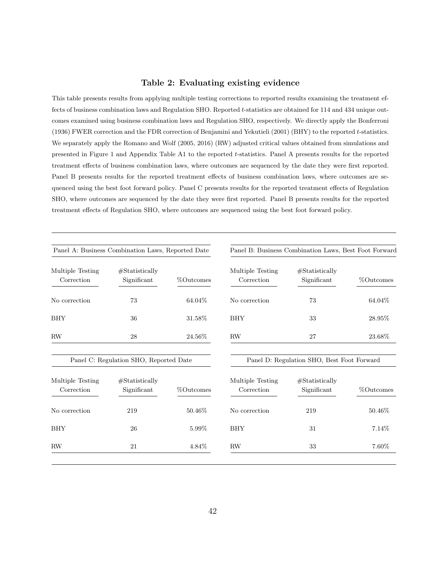#### Table 2: Evaluating existing evidence

<span id="page-44-0"></span>This table presents results from applying multiple testing corrections to reported results examining the treatment effects of business combination laws and Regulation SHO. Reported t-statistics are obtained for 114 and 434 unique outcomes examined using business combination laws and Regulation SHO, respectively. We directly apply the [Bonferroni](#page-38-4) [\(1936\)](#page-38-4) FWER correction and the FDR correction of [Benjamini and Yekutieli](#page-37-2) [\(2001\)](#page-37-2) (BHY) to the reported t-statistics. We separately apply the [Romano and Wolf](#page-40-1) [\(2005,](#page-40-1) [2016\)](#page-41-2) (RW) adjusted critical values obtained from simulations and presented in Figure [1](#page-45-0) and Appendix Table [A1](#page-49-0) to the reported t-statistics. Panel A presents results for the reported treatment effects of business combination laws, where outcomes are sequenced by the date they were first reported. Panel B presents results for the reported treatment effects of business combination laws, where outcomes are sequenced using the best foot forward policy. Panel C presents results for the reported treatment effects of Regulation SHO, where outcomes are sequenced by the date they were first reported. Panel B presents results for the reported treatment effects of Regulation SHO, where outcomes are sequenced using the best foot forward policy.

|                                | Panel A: Business Combination Laws, Reported Date |           |                                | Panel B: Business Combination Laws, Best Foot Forward |              |
|--------------------------------|---------------------------------------------------|-----------|--------------------------------|-------------------------------------------------------|--------------|
| Multiple Testing<br>Correction | #Statistically<br>Significant                     | %Outcomes | Multiple Testing<br>Correction | #Statistically<br>Significant                         | %Outcomes    |
| No correction                  | 73                                                | 64.04%    | No correction                  | 73                                                    | 64.04%       |
| <b>BHY</b>                     | 36                                                | 31.58%    | <b>BHY</b>                     | 33                                                    | 28.95%       |
| RW                             | 28                                                | 24.56%    | <b>RW</b>                      | 27                                                    | 23.68%       |
|                                | Panel C: Regulation SHO, Reported Date            |           |                                | Panel D: Regulation SHO, Best Foot Forward            |              |
| Multiple Testing<br>Correction | #Statistically<br>Significant                     | %Outcomes | Multiple Testing<br>Correction | #Statistically<br>Significant                         | $%$ Outcomes |
| No correction                  | 219                                               | 50.46\%   | No correction                  | 219                                                   | 50.46%       |
| <b>BHY</b>                     | 26                                                | 5.99%     | <b>BHY</b>                     | 31                                                    | 7.14\%       |
| RW                             | 21                                                | 4.84\%    | RW                             | 33                                                    | 7.60%        |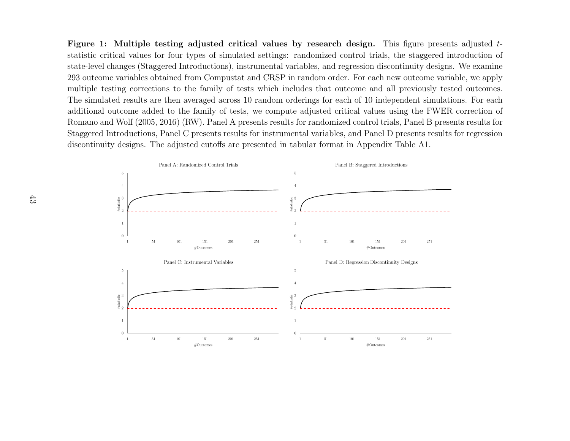<span id="page-45-0"></span>Figure 1: Multiple testing adjusted critical values by research design. This figure presents adjusted  $t$ statistic critical values for four types of simulated settings: randomized control trials, the staggered introduction ofstate-level changes (Staggered Introductions), instrumental variables, and regression discontinuity designs. We examine 293 outcome variables obtained from Compustat and CRSP in random order. For each new outcome variable, we apply multiple testing corrections to the family of tests which includes that outcome and all previously tested outcomes.The simulated results are then averaged across 10 random orderings for each of 10 independent simulations. For each additional outcome added to the family of tests, we compute adjusted critical values using the FWER correction ofRomano and Wolf (2005, 2016) (RW). Panel A presents results for randomized control trials, Panel <sup>B</sup> presents results forStaggered Introductions, Panel C presents results for instrumental variables, and Panel D presents results for regressiondiscontinuity designs. The adjusted cutoffs are presented in tabular format in Appendix Table [A1.](#page-49-1)

<span id="page-45-1"></span>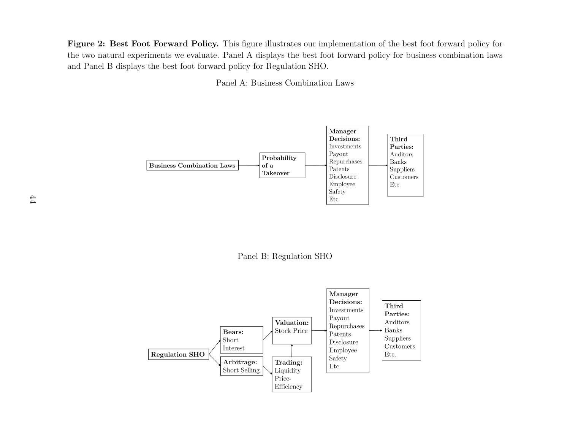Figure 2: Best Foot Forward Policy. This figure illustrates our implementation of the best foot forward policy for the two natural experiments we evaluate. Panel A displays the best foot forward policy for business combination lawsand Panel B displays the best foot forward policy for Regulation SHO.

Panel A: Business Combination Laws



Panel B: Regulation SHO

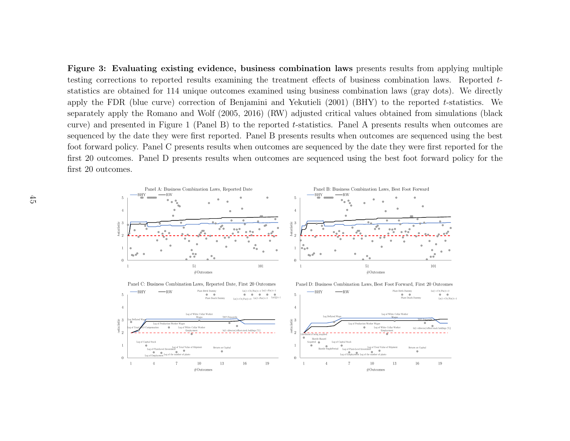<span id="page-47-0"></span>Figure 3: Evaluating existing evidence, business combination laws presents results from applying multiple testing corrections to reported results examining the treatment effects of business combination laws. Reported <sup>t</sup> statistics are obtained for <sup>114</sup> unique outcomes examined using business combination laws (gray dots). We directly apply the FDR (blue curve) correction of Benjamini and Yekutieli (2001) (BHY) to the reported <sup>t</sup>-statistics. We separately apply the Romano and Wolf (2005, 2016) (RW) adjusted critical values obtained from simulations (black curve) and presented in Figure [1](#page-45-1) (Panel B) to the reported <sup>t</sup>-statistics. Panel <sup>A</sup> presents results when outcomes are sequenced by the date they were first reported. Panel B presents results when outcomes are sequenced using the bestfoot forward policy. Panel C presents results when outcomes are sequenced by the date they were first reported for the first 20 outcomes. Panel D presents results when outcomes are sequenced using the best foot forward policy for thefirst 20 outcomes.

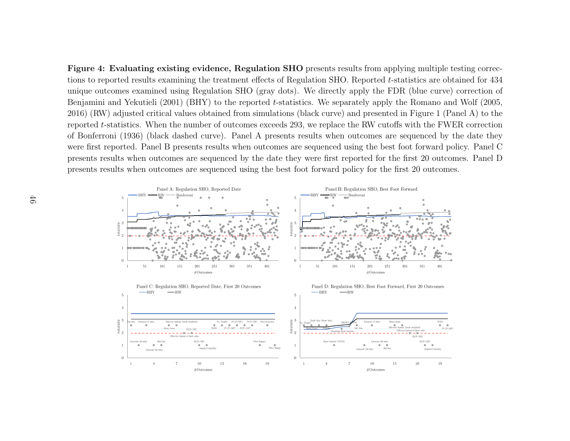<span id="page-48-0"></span>Figure 4: Evaluating existing evidence, Regulation SHO presents results from applying multiple testing corrections to reported results examining the treatment effects of Regulation SHO. Reported <sup>t</sup>-statistics are obtained for <sup>434</sup> unique outcomes examined using Regulation SHO (gray dots). We directly apply the FDR (blue curve) correction ofBenjamini and Yekutieli (2001) (BHY) to the reported <sup>t</sup>-statistics. We separately apply the Romano and Wolf (2005, 2016) (RW) adjusted critical values obtained from simulations (black curve) and presented in Figure [1](#page-45-1) (Panel A) to the reported <sup>t</sup>-statistics. When the number of outcomes exceeds 293, we replace the RW cutoffs with the FWER correction of Bonferroni (1936) (black dashed curve). Panel A presents results when outcomes are sequenced by the date they were first reported. Panel B presents results when outcomes are sequenced using the best foot forward policy. Panel C presents results when outcomes are sequenced by the date they were first reported for the first 20 outcomes. Panel Dpresents results when outcomes are sequenced using the best foot forward policy for the first 20 outcomes.

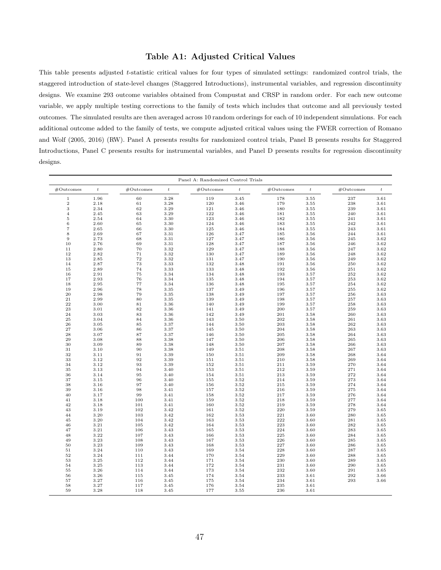#### <span id="page-49-1"></span>Table A1: Adjusted Critical Values

<span id="page-49-0"></span>This table presents adjusted t-statistic critical values for four types of simulated settings: randomized control trials, the staggered introduction of state-level changes (Staggered Introductions), instrumental variables, and regression discontinuity designs. We examine 293 outcome variables obtained from Compustat and CRSP in random order. For each new outcome variable, we apply multiple testing corrections to the family of tests which includes that outcome and all previously tested outcomes. The simulated results are then averaged across 10 random orderings for each of 10 independent simulations. For each additional outcome added to the family of tests, we compute adjusted critical values using the FWER correction of [Romano](#page-40-1) [and Wolf](#page-40-1) [\(2005,](#page-40-1) [2016\)](#page-41-2) (RW). Panel A presents results for randomized control trials, Panel B presents results for Staggered Introductions, Panel C presents results for instrumental variables, and Panel D presents results for regression discontinuity designs.

|                   |                  |           |                  | Panel A: Randomized Control Trials |                  |           |                  |           |                  |
|-------------------|------------------|-----------|------------------|------------------------------------|------------------|-----------|------------------|-----------|------------------|
| #Outcomes         | $\boldsymbol{t}$ | #Outcomes | $\boldsymbol{t}$ | #Outcomes                          | $\boldsymbol{t}$ | #Outcomes | $\boldsymbol{t}$ | #Outcomes | $\boldsymbol{t}$ |
| $\mathbf{1}$      | 1.96             | 60        | 3.28             | 119                                | 3.45             | 178       | 3.55             | 237       | 3.61             |
| $\mathbf{2}$      | 2.18             | 61        | 3.28             | 120                                | 3.46             | 179       | 3.55             | 238       | 3.61             |
| $\,3$             | 2.34             | 62        | 3.29             | 121                                | 3.46             | 180       | 3.55             | 239       | 3.61             |
| $\overline{4}$    | 2.45             | 63        | 3.29             | 122                                | 3.46             | 181       | 3.55             | 240       | 3.61             |
| $\,$ 5            | 2.54             | 64        | 3.30             | 123                                | 3.46             | 182       | 3.55             | 241       | 3.61             |
| 6                 | 2.60             | 65        | 3.30             | 124                                | 3.46             | 183       | 3.55             | 242       | 3.61             |
| $\scriptstyle{7}$ | 2.65             | 66        | 3.30             | 125                                | 3.46             | 184       | 3.55             | 243       | 3.61             |
| $\,$ 8 $\,$       | 2.69             | 67        | 3.31             | 126                                | 3.47             | 185       | 3.56             | 244       | 3.61             |
| $\overline{9}$    | 2.73             | 68        | 3.31             | 127                                | 3.47             | 186       | 3.56             | 245       | 3.62             |
| 10                | 2.76             | 69        | 3.31             | 128                                | 3.47             | 187       | 3.56             | 246       | 3.62             |
| 11                | 2.80             | 70        | 3.32             | 129                                | 3.47             | 188       | 3.56             | 247       | 3.62             |
| 12                | 2.82             | 71        | 3.32             | 130                                | 3.47             | 189       | 3.56             | 248       | 3.62             |
| 13                | 2.85             | 72        | 3.32             | 131                                | 3.47             | 190       | 3.56             | 249       | 3.62             |
| 14                | 2.87             | 73        | 3.33             | 132                                | 3.48             | 191       | 3.56             | 250       | 3.62             |
| 15                | 2.89             | 74        | 3.33             | 133                                | 3.48             | 192       | 3.56             | 251       | 3.62             |
| 16                | 2.91             | 75        | 3.34             | 134                                | 3.48             | 193       | 3.57             | 252       | 3.62             |
| 17                | 2.93             | 76        | 3.34             | 135                                | 3.48             | 194       | 3.57             | 253       | 3.62             |
| 18                | 2.95             | 77        | 3.34             | 136                                | 3.48             | 195       | 3.57             | 254       | 3.62             |
| 19                | 2.96             | 78        | 3.35             | 137                                | 3.49             | 196       | 3.57             | 255       | 3.62             |
| 20                | 2.98             | 79        | 3.35             | 138                                | 3.49             | 197       | 3.57             | 256       | 3.63             |
| 21                | 2.99             | 80        | 3.35             | 139                                | 3.49             | 198       | 3.57             | 257       | 3.63             |
| 22                | 3.00             | 81        | 3.36             | 140                                | 3.49             | 199       | 3.57             | 258       | 3.63             |
| 23                | 3.01             | 82        | 3.36             | 141                                | 3.49             | 200       | 3.57             | 259       | 3.63             |
| 24                | 3.03             | 83        | 3.36             | 142                                | 3.49             | 201       | 3.58             | 260       | 3.63             |
| $\bf 25$          | 3.04             | 84        | 3.36             | 143                                | 3.50             | 202       | 3.58             | 261       | 3.63             |
| 26                | 3.05             | 85        | 3.37             | 144                                | 3.50             | 203       | 3.58             | 262       | 3.63             |
| 27                | 3.06             | 86        | 3.37             | 145                                | 3.50             | 204       | 3.58             | 263       | 3.63             |
| 28                | 3.07             | 87        | 3.37             | 146                                | 3.50             | 205       | 3.58             | 264       | 3.63             |
| 29                | 3.08             | 88        | 3.38             | 147                                | 3.50             | 206       | 3.58             | 265       | 3.63             |
| 30                | 3.09             | 89        | 3.38             | 148                                | 3.50             | 207       | 3.58             | 266       | 3.63             |
| 31                | 3.10             | 90        | 3.38             | 149                                | 3.51             | 208       | 3.58             | 267       | 3.63             |
| 32                | 3.11             | 91        | 3.39             | 150                                | 3.51             | 209       | 3.58             | 268       | 3.64             |
| 33                | 3.12             | 92        | 3.39             | 151                                | 3.51             | 210       | 3.58             | 269       | 3.64             |
| 34                | 3.12             | 93        | 3.39             | 152                                | 3.51             | 211       | 3.59             | 270       | 3.64             |
| 35                | 3.13             | 94        | 3.40             | 153                                | 3.51             | 212       | 3.59             | 271       | 3.64             |
| 36                | 3.14             | 95        | 3.40             | 154                                | 3.51             | 213       | 3.59             | 272       | 3.64             |
| 37                | 3.15             | 96        | 3.40             | 155                                | 3.52             | 214       | 3.59             | 273       | 3.64             |
| 38                | 3.16             | 97        | 3.40             | 156                                | 3.52             | 215       | 3.59             | 274       | 3.64             |
| 39                | 3.16             | 98        | 3.41             | 157                                | 3.52             | 216       | 3.59             | 275       | 3.64             |
| 40                | 3.17             | 99        | 3.41             | 158                                | 3.52             | 217       | 3.59             | 276       | 3.64             |
| 41                | 3.18             | 100       | 3.41             | 159                                | 3.52             | 218       | 3.59             | 277       | 3.64             |
| 42                | 3.18             | 101       | 3.41             | 160                                | 3.52             | 219       | 3.59             | 278       | 3.64             |
| 43                | 3.19             | 102       | 3.42             | 161                                | 3.52             | 220       | 3.59             | 279       | 3.65             |
| 44                | 3.20             | 103       | 3.42             | 162                                | 3.53             | 221       | 3.60             | 280       | 3.65             |
| 45                | 3.20             | 104       | 3.42             | 163                                | 3.53             | 222       | 3.60             | 281       | 3.65             |
| 46                | 3.21             | 105       | 3.42             | 164                                | 3.53             | 223       | 3.60             | 282       | 3.65             |
| 47                | 3.21             | 106       | 3.43             | 165                                | 3.53             | 224       | 3.60             | 283       | 3.65             |
| 48                | 3.22             | 107       | 3.43             | 166                                | 3.53             | 225       | 3.60             | 284       | 3.65             |
| 49                | 3.23             | 108       | 3.43             | 167                                | 3.53             | 226       | 3.60             | 285       | 3.65             |
| 50                | 3.23             | 109       | 3.43             | 168                                | 3.53             | 227       | 3.60             | 286       | 3.65             |
| $51\,$            | 3.24             | 110       | 3.43             | 169                                | 3.54             | 228       | 3.60             | 287       | 3.65             |
| 52                | 3.24             | 111       | 3.44             | 170                                | 3.54             | 229       | 3.60             | 288       | 3.65             |
| 53                | 3.25             | 112       | 3.44             | 171                                | 3.54             | 230       | 3.60             | 289       | 3.65             |
| 54                | 3.25             | 113       | 3.44             | 172                                | 3.54             | 231       | 3.60             | 290       | 3.65             |
| 55                | 3.26             | 114       | 3.44             | 173                                | 3.54             | 232       | 3.60             | 291       | 3.65             |
| 56                | 3.26             | 115       | 3.45             | 174                                | 3.54             | 233       | 3.61             | 292       | 3.66             |
| 57                | 3.27             | 116       | 3.45             | 175                                | 3.54             | 234       | 3.61             | 293       | 3.66             |
| 58                | 3.27             | 117       | 3.45             | 176                                | 3.54             | 235       | 3.61             |           |                  |
| 59                | 3.28             | 118       | 3.45             | 177                                | 3.55             | 236       | 3.61             |           |                  |
|                   |                  |           |                  |                                    |                  |           |                  |           |                  |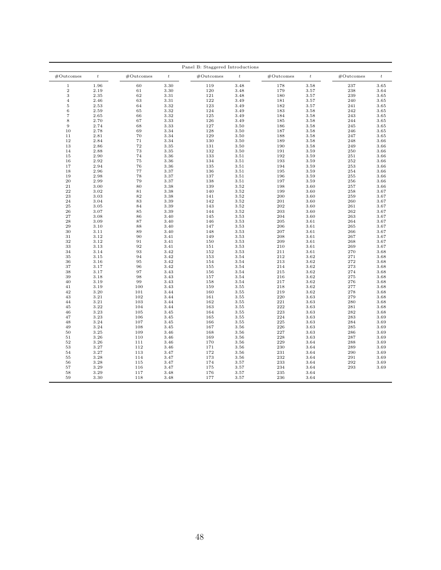|                   | Panel B: Staggered Introductions |           |                  |           |                  |           |                  |           |                  |  |  |
|-------------------|----------------------------------|-----------|------------------|-----------|------------------|-----------|------------------|-----------|------------------|--|--|
| #Outcomes         | $\boldsymbol{t}$                 | #Outcomes | $\boldsymbol{t}$ | #Outcomes | $\boldsymbol{t}$ | #Outcomes | $\boldsymbol{t}$ | #Outcomes | $\boldsymbol{t}$ |  |  |
| $\mathbf{1}$      | 1.96                             | 60        | 3.30             | 119       | 3.48             | 178       | 3.58             | 237       | 3.65             |  |  |
| $\overline{2}$    | 2.19                             | 61        | 3.30             | 120       | 3.48             | 179       | 3.57             | 238       | 3.64             |  |  |
| 3                 | 2.35                             | 62        | 3.31             | 121       | 3.48             | 180       | 3.57             | 239       | 3.65             |  |  |
| $\overline{4}$    | 2.46                             | 63        | 3.31             | 122       | 3.49             | 181       | 3.57             | 240       | 3.65             |  |  |
| $\,$ 5            | 2.53                             | 64        | 3.32             | 123       | 3.49             | 182       | 3.57             | 241       | 3.65             |  |  |
| $\,6$             | 2.59                             | 65        | 3.32             | 124       | 3.49             | 183       | 3.58             | 242       | 3.65             |  |  |
| $\scriptstyle{7}$ | 2.65                             | 66        | 3.32             | 125       | 3.49             | 184       | 3.58             | 243       | 3.65             |  |  |
| $\,$ 8 $\,$       | 2.70                             | 67        | 3.33             | 126       | 3.49             | 185       | 3.58             | 244       | 3.65             |  |  |
| 9                 | 2.74                             | 68        | 3.33             | 127       | 3.50             | 186       | 3.58             | 245       | 3.65             |  |  |
| 10                | 2.78                             | 69        | 3.34             | 128       | 3.50             | 187       | 3.58             | 246       | 3.65             |  |  |
| 11                | 2.81                             | 70        | 3.34             | 129       | 3.50             | 188       | 3.58             | 247       | 3.65             |  |  |
| 12                | 2.84                             | 71        | 3.34             | 130       | 3.50             | 189       | 3.58             | 248       | 3.66             |  |  |
| 13                | 2.86                             | 72        | 3.35             | 131       | 3.50             | 190       | 3.58             | 249       | 3.66             |  |  |
|                   | 2.88                             | 73        | 3.35             | 132       | 3.50             | 191       | 3.59             | 250       | 3.66             |  |  |
| 14                |                                  |           |                  |           |                  |           |                  |           |                  |  |  |
| 15                | 2.90                             | 74        | 3.36             | 133       | 3.51             | 192       | 3.59             | 251       | 3.66             |  |  |
| 16                | 2.92                             | 75        | 3.36             | 134       | 3.51             | 193       | 3.59             | 252       | 3.66             |  |  |
| 17                | 2.94                             | 76        | 3.36             | 135       | 3.51             | 194       | 3.59             | 253       | 3.66             |  |  |
| 18                | 2.96                             | 77        | 3.37             | 136       | 3.51             | 195       | 3.59             | 254       | 3.66             |  |  |
| 19                | 2.98                             | 78        | 3.37             | 137       | 3.51             | 196       | 3.59             | 255       | 3.66             |  |  |
| 20                | 2.99                             | 79        | 3.37             | 138       | 3.51             | 197       | 3.59             | 256       | 3.66             |  |  |
| $\bf{21}$         | 3.00                             | 80        | 3.38             | 139       | 3.52             | 198       | 3.60             | 257       | 3.66             |  |  |
| 22                | 3.02                             | 81        | 3.38             | 140       | 3.52             | 199       | 3.60             | 258       | 3.67             |  |  |
| 23                | 3.03                             | 82        | 3.38             | 141       | 3.52             | 200       | 3.60             | 259       | 3.67             |  |  |
| 24                | 3.04                             | 83        | 3.39             | 142       | 3.52             | 201       | 3.60             | 260       | 3.67             |  |  |
| 25                | 3.05                             | 84        | 3.39             | 143       | 3.52             | 202       | 3.60             | 261       | 3.67             |  |  |
| 26                | 3.07                             | 85        | 3.39             | 144       | 3.52             | 203       | 3.60             | 262       | 3.67             |  |  |
| 27                | 3.08                             | 86        | 3.40             | 145       | 3.53             | 204       | 3.60             | 263       | 3.67             |  |  |
| 28                | 3.09                             | 87        | 3.40             | 146       | 3.53             | 205       | 3.61             | 264       | 3.67             |  |  |
| 29                | 3.10                             | 88        | 3.40             | 147       | 3.53             | 206       | 3.61             | 265       | 3.67             |  |  |
| 30                | 3.11                             | 89        | 3.40             | 148       | 3.53             | 207       | 3.61             | 266       | 3.67             |  |  |
| 31                | 3.12                             | 90        | 3.41             | 149       | 3.53             | 208       | 3.61             | 267       | 3.67             |  |  |
| 32                | 3.12                             | 91        | 3.41             | 150       | 3.53             | 209       | 3.61             | 268       | 3.67             |  |  |
| 33                | 3.13                             | 92        | 3.41             | 151       | 3.53             | 210       | 3.61             | 269       | 3.67             |  |  |
| 34                | 3.14                             | 93        | 3.42             | 152       | 3.53             | 211       | 3.61             | 270       | 3.68             |  |  |
| 35                | 3.15                             | 94        | 3.42             | 153       | 3.54             | 212       | 3.62             | 271       | 3.68             |  |  |
| 36                | 3.16                             | 95        | 3.42             | 154       | 3.54             | 213       | 3.62             | 272       | 3.68             |  |  |
| 37                | 3.17                             | 96        | 3.42             | 155       | 3.54             | 214       | 3.62             | 273       | 3.68             |  |  |
|                   |                                  |           |                  |           |                  |           |                  |           |                  |  |  |
| 38                | 3.17                             | 97        | 3.43             | 156       | 3.54             | 215       | 3.62             | 274       | 3.68             |  |  |
| 39                | 3.18                             | 98        | 3.43             | 157       | 3.54             | 216       | 3.62             | 275       | 3.68             |  |  |
| 40                | 3.19                             | 99        | 3.43             | 158       | 3.54             | 217       | 3.62             | 276       | 3.68             |  |  |
| 41                | 3.19                             | 100       | 3.43             | 159       | 3.55             | 218       | 3.62             | 277       | 3.68             |  |  |
| 42                | 3.20                             | 101       | 3.44             | 160       | 3.55             | 219       | 3.62             | 278       | 3.68             |  |  |
| 43                | 3.21                             | 102       | 3.44             | 161       | 3.55             | 220       | 3.63             | 279       | 3.68             |  |  |
| 44                | 3.21                             | 103       | 3.44             | 162       | 3.55             | 221       | 3.63             | 280       | 3.68             |  |  |
| 45                | 3.22                             | 104       | 3.44             | 163       | 3.55             | 222       | 3.63             | 281       | 3.68             |  |  |
| 46                | 3.23                             | 105       | 3.45             | 164       | 3.55             | 223       | 3.63             | 282       | 3.68             |  |  |
| 47                | 3.23                             | 106       | 3.45             | 165       | 3.55             | 224       | 3.63             | 283       | 3.69             |  |  |
| 48                | 3.24                             | 107       | 3.45             | 166       | 3.55             | 225       | 3.63             | 284       | 3.69             |  |  |
| 49                | 3.24                             | 108       | 3.45             | 167       | 3.56             | 226       | 3.63             | 285       | 3.69             |  |  |
| 50                | 3.25                             | 109       | 3.46             | 168       | 3.56             | 227       | 3.63             | 286       | 3.69             |  |  |
| $51\,$            | 3.26                             | 110       | 3.46             | 169       | 3.56             | 228       | 3.63             | 287       | 3.69             |  |  |
| 52                | 3.26                             | 111       | 3.46             | 170       | 3.56             | 229       | 3.64             | 288       | 3.69             |  |  |
| 53                | 3.27                             | 112       | 3.46             | 171       | 3.56             | 230       | 3.64             | 289       | 3.69             |  |  |
| 54                | 3.27                             | 113       | 3.47             | 172       | 3.56             | 231       | 3.64             | 290       | 3.69             |  |  |
| 55                | 3.28                             | 114       | 3.47             | 173       | 3.56             | 232       | 3.64             | 291       | 3.69             |  |  |
| 56                | 3.28                             | 115       | 3.47             | 174       | 3.57             | 233       | 3.64             | 292       | 3.69             |  |  |
| 57                | 3.29                             | 116       | 3.47             | 175       | 3.57             | 234       | 3.64             | 293       | 3.69             |  |  |
| 58                | 3.29                             | 117       | 3.48             | 176       | 3.57             | 235       | 3.64             |           |                  |  |  |
| 59                | 3.30                             | 118       | 3.48             | 177       | 3.57             | 236       | 3.64             |           |                  |  |  |
|                   |                                  |           |                  |           |                  |           |                  |           |                  |  |  |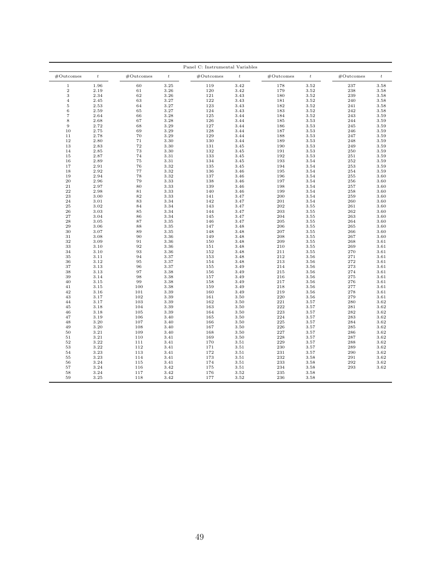|                   | Panel C: Instrumental Variables |           |                  |            |                  |            |                  |           |                  |  |  |
|-------------------|---------------------------------|-----------|------------------|------------|------------------|------------|------------------|-----------|------------------|--|--|
| #Outcomes         | $\boldsymbol{t}$                | #Outcomes | $\boldsymbol{t}$ | #Outcomes  | $\boldsymbol{t}$ | #Outcomes  | $\boldsymbol{t}$ | #Outcomes | $\boldsymbol{t}$ |  |  |
| $\mathbf{1}$      | 1.96                            | 60        | 3.25             | 119        | 3.42             | 178        | 3.52             | 237       | 3.58             |  |  |
| $\overline{2}$    | 2.19                            | 61        | 3.26             | 120        | 3.42             | 179        | 3.52             | 238       | 3.58             |  |  |
| 3                 | 2.34                            | 62        | 3.26             | 121        | 3.43             | 180        | 3.52             | 239       | 3.58             |  |  |
| $\overline{4}$    | 2.45                            | 63        | 3.27             | 122        | 3.43             | 181        | 3.52             | 240       | 3.58             |  |  |
| $\,$ 5            | 2.53                            | 64        | 3.27             | 123        | 3.43             | 182        | 3.52             | 241       | 3.58             |  |  |
| $\,6$             | 2.59                            | 65        | 3.27             | 124        | 3.43             | 183        | 3.52             | 242       | 3.58             |  |  |
| $\scriptstyle{7}$ | 2.64                            | 66        | 3.28             | 125        | 3.44             | 184        | 3.52             | 243       | 3.59             |  |  |
| $\,$ 8 $\,$       | 2.68                            | 67        | 3.28             | 126        | 3.44             | 185        | 3.53             | 244       | 3.59             |  |  |
| 9                 | 2.72                            | 68        | 3.29             | 127        | 3.44             | 186        | 3.53             | 245       | 3.59             |  |  |
| 10                | 2.75                            | 69        | 3.29             | 128        | 3.44             | 187        | 3.53             | 246       | 3.59             |  |  |
| 11                | 2.78                            | 70        | 3.29             | 129        | 3.44             | 188        | 3.53             | 247       | 3.59             |  |  |
| 12                | 2.80                            | 71        | 3.30             | 130        | 3.44             | 189        | 3.53             | 248       | 3.59             |  |  |
| 13                | 2.83                            | 72        | 3.30             | 131        | 3.45             | 190        | 3.53             | 249       | 3.59             |  |  |
|                   | 2.85                            | 73        | 3.30             | 132        | 3.45             | 191        | 3.53             | 250       | 3.59             |  |  |
| 14                |                                 |           |                  |            |                  |            |                  |           |                  |  |  |
| 15                | 2.87                            | 74        | 3.31             | 133        | 3.45             | 192        | 3.53             | 251       | 3.59             |  |  |
| 16                | 2.89                            | 75        | 3.31             | 134        | 3.45             | 193        | 3.54             | 252       | 3.59             |  |  |
| 17                | 2.91                            | 76        | 3.32             | 135        | 3.45             | 194        | 3.54             | 253       | 3.59             |  |  |
| 18                | 2.92                            | 77        | 3.32             | 136        | 3.46             | 195        | 3.54             | 254       | 3.59             |  |  |
| 19                | 2.94                            | 78        | 3.32             | 137        | 3.46             | 196        | 3.54             | 255       | 3.60             |  |  |
| 20                | 2.96                            | 79        | 3.33             | 138        | 3.46             | 197        | 3.54             | 256       | 3.60             |  |  |
| $\bf{21}$         | 2.97                            | 80        | 3.33             | 139        | 3.46             | 198        | 3.54             | 257       | 3.60             |  |  |
| 22                | 2.98                            | 81        | 3.33             | 140        | 3.46             | 199        | 3.54             | 258       | 3.60             |  |  |
| 23                | 3.00                            | 82        | 3.33             | 141        | 3.47             | 200        | 3.54             | 259       | 3.60             |  |  |
| 24                | 3.01                            | 83        | 3.34             | 142        | 3.47             | 201        | 3.54             | 260       | 3.60             |  |  |
| 25                | 3.02                            | 84        | 3.34             | 143        | 3.47             | 202        | 3.55             | 261       | 3.60             |  |  |
| 26                | 3.03                            | 85        | 3.34             | 144        | 3.47             | 203        | 3.55             | 262       | 3.60             |  |  |
| 27                | 3.04                            | 86        | 3.34             | 145        | 3.47             | 204        | 3.55             | 263       | 3.60             |  |  |
| 28                | 3.05                            | 87        | 3.35             | 146        | 3.47             | 205        | 3.55             | 264       | 3.60             |  |  |
| 29                | 3.06                            | 88        | 3.35             | 147        | 3.48             | 206        | 3.55             | 265       | 3.60             |  |  |
| 30                | 3.07                            | 89        | 3.35             | 148        | 3.48             | 207        | 3.55             | 266       | 3.60             |  |  |
| 31                | 3.08                            | 90        | 3.36             | 149        | 3.48             | 208        | 3.55             | 267       | 3.60             |  |  |
| 32                | 3.09                            | 91        | 3.36             | 150        | 3.48             | 209        | 3.55             | 268       | 3.61             |  |  |
| 33                | 3.10                            | 92        | 3.36             | 151        | 3.48             | 210        | 3.55             | 269       | 3.61             |  |  |
| 34                | 3.10                            | 93        | 3.36             | 152        | 3.48             | 211        | 3.55             | 270       | 3.61             |  |  |
| 35                | 3.11                            | 94        | 3.37             | 153        | 3.48             | 212        | 3.56             | 271       | 3.61             |  |  |
| 36                | 3.12                            | 95        | 3.37             | 154        | 3.48             | 213        | 3.56             | 272       | 3.61             |  |  |
| 37                | 3.13                            | 96        | 3.37             | 155        | 3.49             | 214        | 3.56             | 273       | 3.61             |  |  |
|                   |                                 | 97        |                  |            |                  |            |                  | 274       |                  |  |  |
| 38<br>39          | 3.13<br>3.14                    | 98        | 3.38<br>3.38     | 156<br>157 | 3.49<br>3.49     | 215<br>216 | 3.56<br>3.56     | 275       | 3.61<br>3.61     |  |  |
|                   |                                 |           |                  |            |                  |            |                  |           |                  |  |  |
| 40                | 3.15                            | 99        | 3.38             | 158        | 3.49             | 217        | 3.56             | 276       | 3.61             |  |  |
| 41                | 3.15                            | 100       | 3.38             | 159        | 3.49             | 218        | 3.56             | 277       | 3.61             |  |  |
| 42                | 3.16                            | 101       | 3.39             | 160        | 3.49             | 219        | 3.56             | 278       | 3.61             |  |  |
| 43                | 3.17                            | 102       | 3.39             | 161        | 3.50             | 220        | 3.56             | 279       | 3.61             |  |  |
| 44                | 3.17                            | 103       | 3.39             | 162        | 3.50             | 221        | 3.57             | 280       | 3.62             |  |  |
| 45                | 3.18                            | 104       | 3.39             | 163        | 3.50             | 222        | 3.57             | 281       | 3.62             |  |  |
| 46                | 3.18                            | 105       | 3.39             | 164        | 3.50             | 223        | 3.57             | 282       | 3.62             |  |  |
| 47                | 3.19                            | 106       | 3.40             | 165        | 3.50             | 224        | 3.57             | 283       | 3.62             |  |  |
| 48                | 3.20                            | 107       | 3.40             | 166        | 3.50             | 225        | 3.57             | 284       | 3.62             |  |  |
| 49                | 3.20                            | 108       | 3.40             | 167        | 3.50             | 226        | 3.57             | 285       | 3.62             |  |  |
| 50                | 3.21                            | 109       | 3.40             | 168        | 3.50             | 227        | 3.57             | 286       | 3.62             |  |  |
| 51                | 3.21                            | 110       | 3.41             | 169        | 3.50             | 228        | 3.57             | 287       | 3.62             |  |  |
| 52                | 3.22                            | 111       | 3.41             | 170        | 3.51             | 229        | 3.57             | 288       | 3.62             |  |  |
| 53                | 3.22                            | 112       | 3.41             | 171        | 3.51             | 230        | 3.57             | 289       | 3.62             |  |  |
| 54                | 3.23                            | 113       | 3.41             | 172        | 3.51             | 231        | 3.57             | 290       | 3.62             |  |  |
| 55                | 3.23                            | 114       | 3.41             | 173        | 3.51             | 232        | 3.58             | 291       | 3.62             |  |  |
| 56                | 3.24                            | 115       | 3.41             | 174        | 3.51             | 233        | 3.58             | 292       | 3.62             |  |  |
| 57                | 3.24                            | 116       | 3.42             | 175        | 3.51             | 234        | 3.58             | 293       | 3.62             |  |  |
| 58                | 3.24                            | 117       | 3.42             | 176        | 3.52             | 235        | 3.58             |           |                  |  |  |
| 59                | 3.25                            | 118       | 3.42             | 177        | 3.52             | 236        | 3.58             |           |                  |  |  |
|                   |                                 |           |                  |            |                  |            |                  |           |                  |  |  |